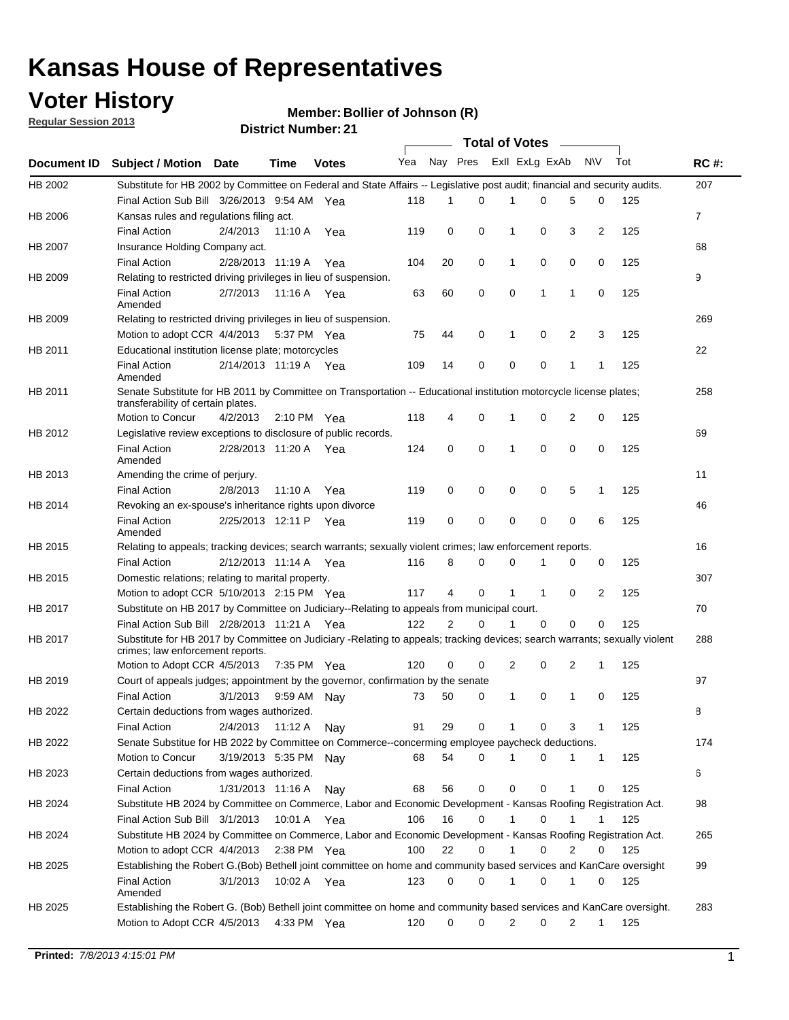## **Voter History**

**Member: Bollier of Johnson (R)** 

**Regular Session 2013**

|                    |                                                                                                                                                                |                       | PISUIVLIVUIIINGI . 4 I |              |                             |             | Total of Votes _____ |              |              |                |                |     |                |
|--------------------|----------------------------------------------------------------------------------------------------------------------------------------------------------------|-----------------------|------------------------|--------------|-----------------------------|-------------|----------------------|--------------|--------------|----------------|----------------|-----|----------------|
| <b>Document ID</b> | <b>Subject / Motion Date</b>                                                                                                                                   |                       | <b>Time</b>            | <b>Votes</b> | Yea Nay Pres ExII ExLg ExAb |             |                      |              |              |                | N\V            | Tot | <b>RC#:</b>    |
| HB 2002            | Substitute for HB 2002 by Committee on Federal and State Affairs -- Legislative post audit; financial and security audits.                                     |                       |                        |              |                             |             |                      |              |              |                |                |     | 207            |
|                    | Final Action Sub Bill 3/26/2013 9:54 AM Yea                                                                                                                    |                       |                        |              | 118                         | 1           | 0                    |              | 0            | 5              | 0              | 125 |                |
| HB 2006            | Kansas rules and regulations filing act.                                                                                                                       |                       |                        |              |                             |             |                      |              |              |                |                |     | $\overline{7}$ |
|                    | <b>Final Action</b>                                                                                                                                            | 2/4/2013              | 11:10 A Yea            |              | 119                         | 0           | 0                    | $\mathbf 1$  | 0            | 3              | $\overline{2}$ | 125 |                |
| HB 2007            | Insurance Holding Company act.                                                                                                                                 |                       |                        |              |                             |             |                      |              |              |                |                |     | 68             |
|                    | <b>Final Action</b>                                                                                                                                            | 2/28/2013 11:19 A     |                        | Yea          | 104                         | 20          | 0                    | 1            | 0            | 0              | 0              | 125 |                |
| HB 2009            | Relating to restricted driving privileges in lieu of suspension.                                                                                               |                       |                        |              |                             |             |                      |              |              |                |                |     | 9              |
|                    | <b>Final Action</b><br>Amended                                                                                                                                 | 2/7/2013              | 11:16 A Yea            |              | 63                          | 60          | $\mathbf 0$          | 0            | 1            | 1              | 0              | 125 |                |
| HB 2009            | Relating to restricted driving privileges in lieu of suspension.                                                                                               |                       |                        |              |                             |             |                      |              |              |                |                |     | 269            |
|                    | Motion to adopt CCR 4/4/2013                                                                                                                                   |                       | 5:37 PM Yea            |              | 75                          | 44          | $\mathbf 0$          | 1            | 0            | $\overline{2}$ | 3              | 125 |                |
| HB 2011            | Educational institution license plate; motorcycles                                                                                                             |                       |                        |              |                             |             |                      |              |              |                |                |     | 22             |
|                    | <b>Final Action</b><br>Amended                                                                                                                                 | 2/14/2013 11:19 A Yea |                        |              | 109                         | 14          | 0                    | 0            | 0            | 1              | 1              | 125 |                |
| HB 2011            | Senate Substitute for HB 2011 by Committee on Transportation -- Educational institution motorcycle license plates;                                             |                       |                        |              |                             |             |                      |              |              |                |                |     | 258            |
|                    | transferability of certain plates.                                                                                                                             |                       |                        |              |                             |             |                      |              |              |                |                |     |                |
|                    | Motion to Concur                                                                                                                                               | 4/2/2013              | $2:10 \text{ PM}$ Yea  |              | 118                         | 4           | 0                    | $\mathbf 1$  | 0            | 2              | 0              | 125 |                |
| HB 2012            | Legislative review exceptions to disclosure of public records.                                                                                                 |                       |                        |              |                             |             |                      |              |              |                |                |     | 69             |
|                    | <b>Final Action</b><br>Amended                                                                                                                                 | 2/28/2013 11:20 A Yea |                        |              | 124                         | $\mathbf 0$ | $\mathbf 0$          | $\mathbf{1}$ | 0            | 0              | 0              | 125 |                |
| HB 2013            | Amending the crime of perjury.                                                                                                                                 |                       |                        |              |                             |             |                      |              |              |                |                |     | 11             |
|                    | <b>Final Action</b>                                                                                                                                            | 2/8/2013              | 11:10 A                | Yea          | 119                         | 0           | 0                    | 0            | 0            | 5              | 1              | 125 |                |
| HB 2014            | Revoking an ex-spouse's inheritance rights upon divorce                                                                                                        |                       |                        |              |                             |             |                      |              |              |                |                |     | 46             |
|                    | <b>Final Action</b><br>Amended                                                                                                                                 | 2/25/2013 12:11 P Yea |                        |              | 119                         | 0           | 0                    | 0            | 0            | 0              | 6              | 125 |                |
| HB 2015            | Relating to appeals; tracking devices; search warrants; sexually violent crimes; law enforcement reports.                                                      |                       |                        |              |                             |             |                      |              |              |                |                |     | 16             |
|                    | <b>Final Action</b>                                                                                                                                            | 2/12/2013 11:14 A     |                        | Yea          | 116                         | 8           | 0                    | 0            | 1            | 0              | 0              | 125 |                |
| HB 2015            | Domestic relations; relating to marital property.                                                                                                              |                       |                        |              |                             |             |                      |              |              |                |                |     | 307            |
|                    | Motion to adopt CCR 5/10/2013 2:15 PM Yea                                                                                                                      |                       |                        |              | 117                         | 4           | $\mathbf 0$          | $\mathbf{1}$ | $\mathbf{1}$ | 0              | 2              | 125 |                |
| HB 2017            | Substitute on HB 2017 by Committee on Judiciary--Relating to appeals from municipal court.                                                                     |                       |                        |              |                             |             |                      |              |              |                |                |     | 70             |
|                    | Final Action Sub Bill 2/28/2013 11:21 A Yea                                                                                                                    |                       |                        |              | 122                         | 2           | 0                    | 1            | $\Omega$     | 0              | 0              | 125 |                |
| HB 2017            | Substitute for HB 2017 by Committee on Judiciary -Relating to appeals; tracking devices; search warrants; sexually violent<br>crimes; law enforcement reports. |                       |                        |              |                             |             |                      |              |              |                |                |     | 288            |
|                    | Motion to Adopt CCR 4/5/2013                                                                                                                                   |                       | 7:35 PM Yea            |              | 120                         | 0           | $\mathbf 0$          | 2            | 0            | $\overline{2}$ | 1              | 125 |                |
| HB 2019            | Court of appeals judges; appointment by the governor, confirmation by the senate                                                                               |                       |                        |              |                             |             |                      |              |              |                |                |     | 97             |
|                    | <b>Final Action</b>                                                                                                                                            | 3/1/2013              | 9:59 AM Nay            |              | 73                          | 50          | 0                    | $\mathbf{1}$ | 0            | 1              | 0              | 125 |                |
| HB 2022            | Certain deductions from wages authorized.                                                                                                                      |                       |                        |              |                             |             |                      |              |              |                |                |     | В              |
|                    | <b>Final Action</b>                                                                                                                                            | 2/4/2013              | 11:12 A                | Nay          | 91                          | 29          | 0                    |              | 0            | 3              | 1              | 125 |                |
| HB 2022            | Senate Substitue for HB 2022 by Committee on Commerce--concerming employee paycheck deductions.                                                                |                       |                        |              |                             |             |                      |              |              |                |                |     | 174            |
|                    | Motion to Concur                                                                                                                                               | 3/19/2013 5:35 PM Nav |                        |              | 68                          | 54          | 0                    | 1            | 0            | 1              | $\mathbf{1}$   | 125 |                |
| HB 2023            | Certain deductions from wages authorized.                                                                                                                      |                       |                        |              |                             |             |                      |              |              |                |                |     | 6              |
|                    | <b>Final Action</b>                                                                                                                                            | 1/31/2013 11:16 A     |                        | Nay          | 68                          | 56          | 0                    | 0            | 0            | 1              | 0              | 125 |                |
| HB 2024            | Substitute HB 2024 by Committee on Commerce, Labor and Economic Development - Kansas Roofing Registration Act.                                                 |                       |                        |              |                             |             |                      |              |              |                |                |     | 98             |
|                    | Final Action Sub Bill 3/1/2013                                                                                                                                 |                       | 10:01 A Yea            |              | 106                         | 16          | 0                    | $\mathbf{1}$ | 0            | 1              | 1              | 125 |                |
| HB 2024            | Substitute HB 2024 by Committee on Commerce, Labor and Economic Development - Kansas Roofing Registration Act.                                                 |                       |                        |              |                             |             |                      |              |              |                |                |     | 265            |
|                    | Motion to adopt CCR 4/4/2013                                                                                                                                   |                       | $2:38$ PM Yea          |              | 100                         | 22          | 0                    | $\mathbf{1}$ | 0            | 2              | 0              | 125 |                |
| HB 2025            | Establishing the Robert G.(Bob) Bethell joint committee on home and community based services and KanCare oversight                                             |                       |                        |              |                             |             |                      |              |              |                |                |     | 99             |
|                    | <b>Final Action</b><br>Amended                                                                                                                                 | 3/1/2013              | 10:02 A Yea            |              | 123                         | 0           | 0                    | $\mathbf{1}$ | 0            | 1              | 0              | 125 |                |
| HB 2025            | Establishing the Robert G. (Bob) Bethell joint committee on home and community based services and KanCare oversight.                                           |                       |                        |              |                             |             |                      |              |              |                |                |     | 283            |
|                    | Motion to Adopt CCR 4/5/2013                                                                                                                                   |                       | 4:33 PM Yea            |              | 120                         | 0           | 0                    | 2            | 0            | 2              | 1              | 125 |                |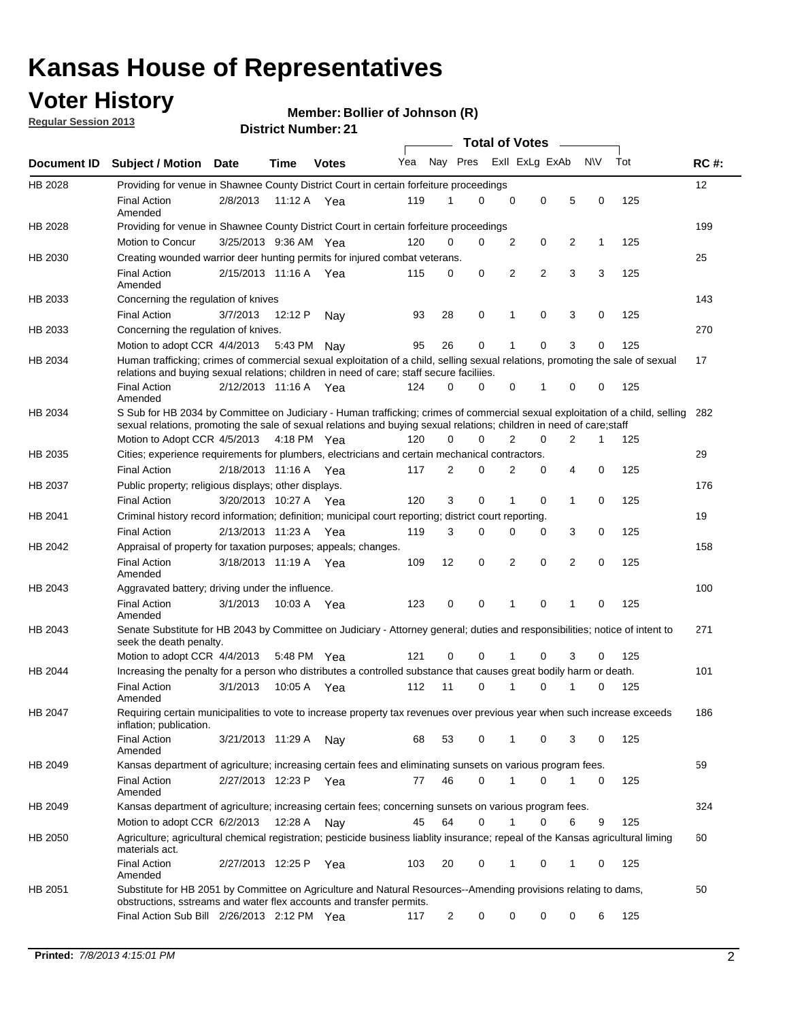## **Voter History**

**Member: Bollier of Johnson (R)** 

**Regular Session 2013**

|                |                                                                                                                                                                                                                                                        |                       |             |              |     |                         | <b>Total of Votes</b> |   |   |                |           |     |             |
|----------------|--------------------------------------------------------------------------------------------------------------------------------------------------------------------------------------------------------------------------------------------------------|-----------------------|-------------|--------------|-----|-------------------------|-----------------------|---|---|----------------|-----------|-----|-------------|
| Document ID    | <b>Subject / Motion</b>                                                                                                                                                                                                                                | Date                  | Time        | <b>Votes</b> | Yea | Nay Pres Exll ExLg ExAb |                       |   |   |                | <b>NV</b> | Tot | <b>RC#:</b> |
| HB 2028        | Providing for venue in Shawnee County District Court in certain forfeiture proceedings                                                                                                                                                                 |                       |             |              |     |                         |                       |   |   |                |           |     | 12          |
|                | <b>Final Action</b><br>Amended                                                                                                                                                                                                                         | 2/8/2013              | 11:12 A Yea |              | 119 | 1                       | $\Omega$              | 0 | 0 | 5              | 0         | 125 |             |
| HB 2028        | Providing for venue in Shawnee County District Court in certain forfeiture proceedings                                                                                                                                                                 |                       |             |              |     |                         |                       |   |   |                |           |     | 199         |
|                | Motion to Concur                                                                                                                                                                                                                                       | 3/25/2013 9:36 AM Yea |             |              | 120 | 0                       | 0                     | 2 | 0 | 2              | 1         | 125 |             |
| HB 2030        | Creating wounded warrior deer hunting permits for injured combat veterans.                                                                                                                                                                             |                       |             |              |     |                         |                       |   |   |                |           |     | 25          |
|                | <b>Final Action</b><br>Amended                                                                                                                                                                                                                         | 2/15/2013 11:16 A     |             | Yea          | 115 | 0                       | 0                     | 2 | 2 | 3              | 3         | 125 |             |
| HB 2033        | Concerning the regulation of knives                                                                                                                                                                                                                    |                       |             |              |     |                         |                       |   |   |                |           |     | 143         |
|                | <b>Final Action</b>                                                                                                                                                                                                                                    | 3/7/2013              | 12:12 P     | Nav          | 93  | 28                      | 0                     | 1 | 0 | 3              | 0         | 125 |             |
| HB 2033        | Concerning the regulation of knives.                                                                                                                                                                                                                   |                       |             |              |     |                         |                       |   |   |                |           |     | 270         |
|                | Motion to adopt CCR 4/4/2013                                                                                                                                                                                                                           |                       | 5:43 PM     | Nav          | 95  | 26                      | 0                     |   | 0 | 3              | 0         | 125 |             |
| HB 2034        | Human trafficking; crimes of commercial sexual exploitation of a child, selling sexual relations, promoting the sale of sexual<br>relations and buying sexual relations; children in need of care; staff secure faciliies.                             |                       |             |              |     |                         |                       |   |   |                |           |     | 17          |
|                | <b>Final Action</b><br>Amended                                                                                                                                                                                                                         | 2/12/2013 11:16 A Yea |             |              | 124 | 0                       | 0                     | 0 | 1 | 0              | 0         | 125 |             |
| HB 2034        | S Sub for HB 2034 by Committee on Judiciary - Human trafficking; crimes of commercial sexual exploitation of a child, selling<br>sexual relations, promoting the sale of sexual relations and buying sexual relations; children in need of care; staff |                       |             |              |     |                         |                       |   |   |                |           |     | 282         |
|                | Motion to Adopt CCR 4/5/2013 4:18 PM Yea                                                                                                                                                                                                               |                       |             |              | 120 | 0                       | 0                     | 2 | 0 | $\overline{2}$ | 1         | 125 |             |
| HB 2035        | Cities; experience requirements for plumbers, electricians and certain mechanical contractors.                                                                                                                                                         |                       |             |              |     |                         |                       |   |   |                |           |     | 29          |
|                | <b>Final Action</b>                                                                                                                                                                                                                                    | 2/18/2013 11:16 A     |             | Yea          | 117 | 2                       | 0                     | 2 | 0 | 4              | 0         | 125 |             |
| HB 2037        | Public property; religious displays; other displays.                                                                                                                                                                                                   |                       |             |              |     |                         |                       |   |   |                |           |     | 176         |
|                | <b>Final Action</b>                                                                                                                                                                                                                                    | 3/20/2013 10:27 A Yea |             |              | 120 | 3                       | 0                     | 1 | 0 | 1              | 0         | 125 |             |
| HB 2041        | Criminal history record information; definition; municipal court reporting; district court reporting.                                                                                                                                                  |                       |             |              |     |                         |                       |   |   |                |           |     | 19          |
|                | <b>Final Action</b>                                                                                                                                                                                                                                    | 2/13/2013 11:23 A     |             | Yea          | 119 | 3                       | 0                     | 0 | 0 | 3              | 0         | 125 |             |
| HB 2042        | Appraisal of property for taxation purposes; appeals; changes.                                                                                                                                                                                         |                       |             |              |     |                         |                       |   |   |                |           |     | 158         |
|                | <b>Final Action</b><br>Amended                                                                                                                                                                                                                         | 3/18/2013 11:19 A     |             | Yea          | 109 | 12                      | 0                     | 2 | 0 | 2              | 0         | 125 |             |
| HB 2043        | Aggravated battery; driving under the influence.                                                                                                                                                                                                       |                       |             |              |     |                         |                       |   |   |                |           |     | 100         |
|                | <b>Final Action</b><br>Amended                                                                                                                                                                                                                         | 3/1/2013              | 10:03 A Yea |              | 123 | 0                       | 0                     | 1 | 0 | 1              | 0         | 125 |             |
| HB 2043        | Senate Substitute for HB 2043 by Committee on Judiciary - Attorney general; duties and responsibilities; notice of intent to<br>seek the death penalty.                                                                                                |                       |             |              |     |                         |                       |   |   |                |           |     | 271         |
|                | Motion to adopt CCR 4/4/2013                                                                                                                                                                                                                           |                       | 5:48 PM Yea |              | 121 | 0                       | 0                     |   | 0 | 3              | 0         | 125 |             |
| <b>HB 2044</b> | Increasing the penalty for a person who distributes a controlled substance that causes great bodily harm or death.                                                                                                                                     |                       |             |              |     |                         |                       |   |   |                |           |     | 101         |
|                | <b>Final Action</b><br>Amended                                                                                                                                                                                                                         | 3/1/2013              | 10:05 A     | Yea          | 112 | 11                      | $\Omega$              | 1 | 0 | 1              | 0         | 125 |             |
| HB 2047        | Requiring certain municipalities to vote to increase property tax revenues over previous year when such increase exceeds<br>inflation; publication.                                                                                                    |                       |             |              |     |                         |                       |   |   |                |           |     | 186         |
|                | <b>Final Action</b><br>Amended                                                                                                                                                                                                                         | 3/21/2013 11:29 A     |             | Nay          | 68  | 53                      | 0                     |   | 0 | 3              | 0         | 125 |             |
| HB 2049        | Kansas department of agriculture; increasing certain fees and eliminating sunsets on various program fees.                                                                                                                                             |                       |             |              |     |                         |                       |   |   |                |           |     | 59          |
|                | <b>Final Action</b><br>Amended                                                                                                                                                                                                                         | 2/27/2013 12:23 P     |             | Yea          | 77  | 46                      | 0                     |   | 0 | 1              | 0         | 125 |             |
| HB 2049        | Kansas department of agriculture; increasing certain fees; concerning sunsets on various program fees.                                                                                                                                                 |                       |             |              |     |                         |                       |   |   |                |           |     | 324         |
|                | Motion to adopt CCR 6/2/2013                                                                                                                                                                                                                           |                       | 12:28 A     | Nay          | 45  | 64                      | 0                     | 1 | 0 | 6              | 9         | 125 |             |
| HB 2050        | Agriculture; agricultural chemical registration; pesticide business liablity insurance; repeal of the Kansas agricultural liming<br>materials act.                                                                                                     |                       |             |              |     |                         |                       |   |   |                |           |     | 60          |
|                | <b>Final Action</b><br>Amended                                                                                                                                                                                                                         | 2/27/2013 12:25 P     |             | Yea          | 103 | 20                      | 0                     | 1 | 0 | 1              | 0         | 125 |             |
| HB 2051        | Substitute for HB 2051 by Committee on Agriculture and Natural Resources--Amending provisions relating to dams,<br>obstructions, sstreams and water flex accounts and transfer permits.                                                                |                       |             |              |     |                         |                       |   |   |                |           |     | 50          |
|                | Final Action Sub Bill 2/26/2013 2:12 PM Yea                                                                                                                                                                                                            |                       |             |              | 117 | $\overline{2}$          | 0                     | 0 | 0 | 0              | 6         | 125 |             |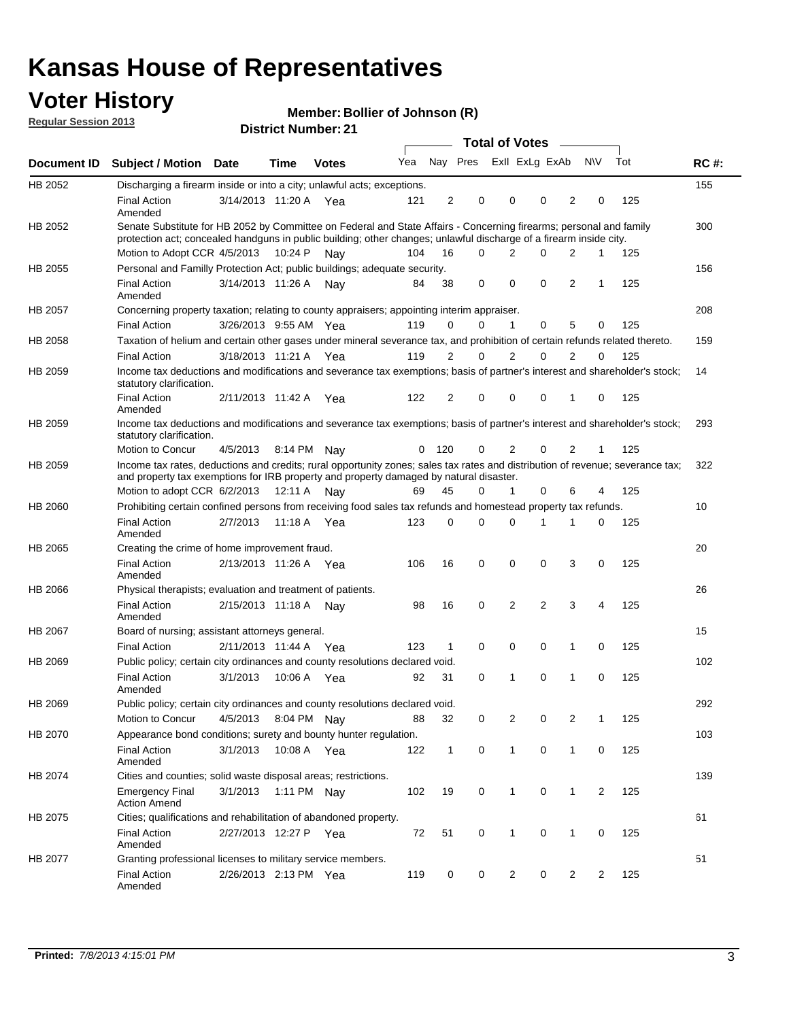## **Voter History**

**Member: Bollier of Johnson (R)** 

**Regular Session 2013**

|                |                                                                                                                                                                                                                                          |                       |             | PIJUIUL INUIIINGI . 4 I |     |                |                             | <b>Total of Votes</b> | $\sim$   |                |           |     |             |
|----------------|------------------------------------------------------------------------------------------------------------------------------------------------------------------------------------------------------------------------------------------|-----------------------|-------------|-------------------------|-----|----------------|-----------------------------|-----------------------|----------|----------------|-----------|-----|-------------|
| Document ID    | <b>Subject / Motion</b>                                                                                                                                                                                                                  | Date                  | Time        | <b>Votes</b>            |     |                | Yea Nay Pres ExII ExLg ExAb |                       |          |                | <b>NV</b> | Tot | <b>RC#:</b> |
| HB 2052        | Discharging a firearm inside or into a city; unlawful acts; exceptions.                                                                                                                                                                  |                       |             |                         |     |                |                             |                       |          |                |           |     | 155         |
|                | <b>Final Action</b><br>Amended                                                                                                                                                                                                           | 3/14/2013 11:20 A Yea |             |                         | 121 | 2              | 0                           | 0                     | $\Omega$ | $\overline{2}$ | 0         | 125 |             |
| HB 2052        | Senate Substitute for HB 2052 by Committee on Federal and State Affairs - Concerning firearms; personal and family<br>protection act; concealed handguns in public building; other changes; unlawful discharge of a firearm inside city. |                       |             |                         |     |                |                             |                       |          |                |           |     | 300         |
|                | Motion to Adopt CCR 4/5/2013                                                                                                                                                                                                             |                       | 10:24 P     | Nav                     | 104 | 16             | 0                           | 2                     | $\Omega$ | 2              | 1         | 125 |             |
| HB 2055        | Personal and Familly Protection Act; public buildings; adequate security.                                                                                                                                                                |                       |             |                         |     |                |                             |                       |          |                |           |     | 156         |
|                | <b>Final Action</b><br>Amended                                                                                                                                                                                                           | 3/14/2013 11:26 A     |             | Nav                     | 84  | 38             | 0                           | 0                     | 0        | $\overline{2}$ | 1         | 125 |             |
| HB 2057        | Concerning property taxation; relating to county appraisers; appointing interim appraiser.                                                                                                                                               |                       |             |                         |     |                |                             |                       |          |                |           |     | 208         |
|                | <b>Final Action</b>                                                                                                                                                                                                                      | 3/26/2013 9:55 AM Yea |             |                         | 119 | 0              | 0                           | 1                     | 0        | 5              | 0         | 125 |             |
| HB 2058        | Taxation of helium and certain other gases under mineral severance tax, and prohibition of certain refunds related thereto.                                                                                                              |                       |             |                         |     |                |                             |                       |          |                |           |     | 159         |
|                | <b>Final Action</b>                                                                                                                                                                                                                      | 3/18/2013 11:21 A Yea |             |                         | 119 | 2              | 0                           | 2                     | $\Omega$ | $\overline{2}$ | $\Omega$  | 125 |             |
| HB 2059        | Income tax deductions and modifications and severance tax exemptions; basis of partner's interest and shareholder's stock;<br>statutory clarification.                                                                                   |                       |             |                         |     |                |                             |                       |          |                |           |     | 14          |
|                | <b>Final Action</b><br>Amended                                                                                                                                                                                                           | 2/11/2013 11:42 A     |             | Yea                     | 122 | $\overline{2}$ | 0                           | 0                     | 0        | 1              | 0         | 125 |             |
| HB 2059        | Income tax deductions and modifications and severance tax exemptions; basis of partner's interest and shareholder's stock;<br>statutory clarification.                                                                                   |                       |             |                         |     |                |                             |                       |          |                |           |     | 293         |
|                | Motion to Concur                                                                                                                                                                                                                         | 4/5/2013              |             | 8:14 PM Nay             | 0   | 120            | 0                           | $\overline{2}$        | 0        | $\overline{2}$ | 1         | 125 |             |
| HB 2059        | Income tax rates, deductions and credits; rural opportunity zones; sales tax rates and distribution of revenue; severance tax;<br>and property tax exemptions for IRB property and property damaged by natural disaster.                 |                       |             |                         |     |                |                             |                       |          |                |           |     | 322         |
|                | Motion to adopt CCR 6/2/2013                                                                                                                                                                                                             |                       | 12:11 A     | Nav                     | 69  | 45             | 0                           | $\mathbf{1}$          | 0        | 6              | 4         | 125 |             |
| <b>HB 2060</b> | Prohibiting certain confined persons from receiving food sales tax refunds and homestead property tax refunds.                                                                                                                           |                       |             |                         |     |                |                             |                       |          |                |           |     | 10          |
|                | <b>Final Action</b><br>Amended                                                                                                                                                                                                           | 2/7/2013              | 11:18 A     | Yea                     | 123 | $\mathbf 0$    | 0                           | 0                     | 1        | 1              | 0         | 125 |             |
| HB 2065        | Creating the crime of home improvement fraud.                                                                                                                                                                                            |                       |             |                         |     |                |                             |                       |          |                |           |     | 20          |
|                | <b>Final Action</b><br>Amended                                                                                                                                                                                                           | 2/13/2013 11:26 A Yea |             |                         | 106 | 16             | 0                           | 0                     | 0        | 3              | 0         | 125 |             |
| <b>HB 2066</b> | Physical therapists; evaluation and treatment of patients.                                                                                                                                                                               |                       |             |                         |     |                |                             |                       |          |                |           |     | 26          |
|                | <b>Final Action</b><br>Amended                                                                                                                                                                                                           | 2/15/2013 11:18 A     |             | Nav                     | 98  | 16             | $\mathbf 0$                 | $\overline{2}$        | 2        | 3              | 4         | 125 |             |
| HB 2067        | Board of nursing; assistant attorneys general.                                                                                                                                                                                           |                       |             |                         |     |                |                             |                       |          |                |           |     | 15          |
|                | <b>Final Action</b>                                                                                                                                                                                                                      | 2/11/2013 11:44 A Yea |             |                         | 123 | $\mathbf{1}$   | 0                           | 0                     | 0        | 1              | 0         | 125 |             |
| HB 2069        | Public policy; certain city ordinances and county resolutions declared void.                                                                                                                                                             |                       |             |                         |     |                |                             |                       |          |                |           |     | 102         |
|                | <b>Final Action</b><br>Amended                                                                                                                                                                                                           | 3/1/2013              | 10:06 A     | Yea                     | 92  | 31             | $\Omega$                    | 1                     | 0        | 1              | 0         | 125 |             |
| HB 2069        | Public policy; certain city ordinances and county resolutions declared void.                                                                                                                                                             |                       |             |                         |     |                |                             |                       |          |                |           |     | 292         |
|                | Motion to Concur                                                                                                                                                                                                                         | 4/5/2013              |             | 8:04 PM Nay             | 88  | 32             | 0                           | 2                     | 0        | 2              | 1         | 125 |             |
| HB 2070        | Appearance bond conditions; surety and bounty hunter regulation.                                                                                                                                                                         |                       |             |                         |     |                |                             |                       |          |                |           |     | 103         |
|                | <b>Final Action</b><br>Amended                                                                                                                                                                                                           | 3/1/2013              | 10:08 A Yea |                         | 122 | $\mathbf{1}$   | 0                           | $\mathbf{1}$          | 0        | $\mathbf{1}$   | 0         | 125 |             |
| HB 2074        | Cities and counties; solid waste disposal areas; restrictions.                                                                                                                                                                           |                       |             |                         |     |                |                             |                       |          |                |           |     | 139         |
|                | <b>Emergency Final</b><br><b>Action Amend</b>                                                                                                                                                                                            | 3/1/2013              |             | 1:11 PM Nay             | 102 | 19             | 0                           | 1                     | 0        | $\mathbf{1}$   | 2         | 125 |             |
| HB 2075        | Cities; qualifications and rehabilitation of abandoned property.                                                                                                                                                                         |                       |             |                         |     |                |                             |                       |          |                |           |     | 61          |
|                | <b>Final Action</b><br>Amended                                                                                                                                                                                                           | 2/27/2013 12:27 P Yea |             |                         | 72  | 51             | 0                           | 1                     | 0        | 1              | 0         | 125 |             |
| HB 2077        | Granting professional licenses to military service members.<br><b>Final Action</b><br>Amended                                                                                                                                            | 2/26/2013 2:13 PM Yea |             |                         | 119 | 0              | 0                           | 2                     | 0        | 2              | 2         | 125 | 51          |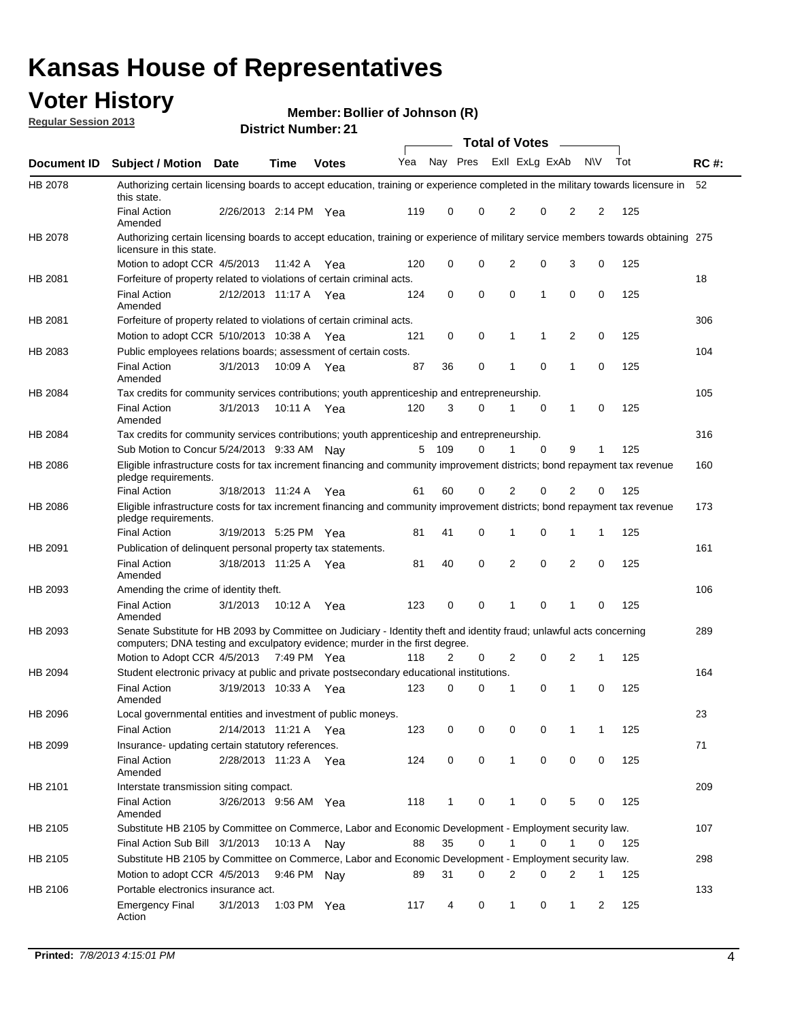## **Voter History**

**Member: Bollier of Johnson (R)** 

**Regular Session 2013**

|                    |                                                                                                                                                                                                       |                       |               | ו ג וסעוווטנו ועוווסו |              |              |   | <b>Total of Votes</b> |             | $\sim$         |             |     |             |
|--------------------|-------------------------------------------------------------------------------------------------------------------------------------------------------------------------------------------------------|-----------------------|---------------|-----------------------|--------------|--------------|---|-----------------------|-------------|----------------|-------------|-----|-------------|
| <b>Document ID</b> | <b>Subject / Motion Date</b>                                                                                                                                                                          |                       | <b>Time</b>   | <b>Votes</b>          | Yea Nay Pres |              |   | Exll ExLg ExAb        |             |                | <b>NV</b>   | Tot | <b>RC#:</b> |
| HB 2078            | Authorizing certain licensing boards to accept education, training or experience completed in the military towards licensure in<br>this state.                                                        |                       |               |                       |              |              |   |                       |             |                |             |     | 52          |
|                    | <b>Final Action</b><br>Amended                                                                                                                                                                        | 2/26/2013 2:14 PM Yea |               |                       | 119          | 0            | 0 | 2                     | 0           | 2              | 2           | 125 |             |
| HB 2078            | Authorizing certain licensing boards to accept education, training or experience of military service members towards obtaining 275<br>licensure in this state.                                        |                       |               |                       |              |              |   |                       |             |                |             |     |             |
|                    | Motion to adopt CCR 4/5/2013                                                                                                                                                                          |                       | 11:42 A       | Yea                   | 120          | 0            | 0 | $\overline{2}$        | 0           | 3              | 0           | 125 |             |
| HB 2081            | Forfeiture of property related to violations of certain criminal acts.                                                                                                                                |                       |               |                       |              |              |   |                       |             |                |             |     | 18          |
|                    | <b>Final Action</b><br>Amended                                                                                                                                                                        | 2/12/2013 11:17 A Yea |               |                       | 124          | 0            | 0 | $\Omega$              | 1           | 0              | 0           | 125 |             |
| HB 2081            | Forfeiture of property related to violations of certain criminal acts.                                                                                                                                |                       |               |                       |              |              |   |                       |             |                |             |     | 306         |
|                    | Motion to adopt CCR 5/10/2013 10:38 A                                                                                                                                                                 |                       |               | Yea                   | 121          | 0            | 0 | 1                     | 1           | 2              | 0           | 125 |             |
| HB 2083            | Public employees relations boards; assessment of certain costs.                                                                                                                                       |                       |               |                       |              |              |   |                       |             |                |             |     | 104         |
|                    | <b>Final Action</b><br>Amended                                                                                                                                                                        | 3/1/2013              | 10:09 A       | Yea                   | 87           | 36           | 0 | 1                     | $\mathbf 0$ | 1              | $\mathbf 0$ | 125 |             |
| HB 2084            | Tax credits for community services contributions; youth apprenticeship and entrepreneurship.                                                                                                          |                       |               |                       |              |              |   |                       |             |                |             |     | 105         |
|                    | <b>Final Action</b><br>Amended                                                                                                                                                                        | 3/1/2013              | 10:11 A       | Yea                   | 120          | 3            | 0 | 1                     | $\mathbf 0$ | 1              | 0           | 125 |             |
| HB 2084            | Tax credits for community services contributions; youth apprenticeship and entrepreneurship.                                                                                                          |                       |               |                       |              |              |   |                       |             |                |             |     | 316         |
|                    | Sub Motion to Concur 5/24/2013 9:33 AM Nav                                                                                                                                                            |                       |               |                       | 5            | - 109        | 0 |                       | $\Omega$    | 9              | 1           | 125 |             |
| HB 2086            | Eligible infrastructure costs for tax increment financing and community improvement districts; bond repayment tax revenue<br>pledge requirements.                                                     |                       |               |                       |              |              |   |                       |             |                |             |     | 160         |
|                    | <b>Final Action</b>                                                                                                                                                                                   | 3/18/2013 11:24 A     |               | Yea                   | 61           | 60           | 0 | 2                     | 0           | $\overline{2}$ | 0           | 125 |             |
| HB 2086            | Eligible infrastructure costs for tax increment financing and community improvement districts; bond repayment tax revenue<br>pledge requirements.                                                     |                       |               |                       |              |              |   |                       |             |                |             |     | 173         |
|                    | <b>Final Action</b>                                                                                                                                                                                   | 3/19/2013 5:25 PM Yea |               |                       | 81           | 41           | 0 | 1                     | 0           | 1              | 1           | 125 |             |
| HB 2091            | Publication of delinguent personal property tax statements.                                                                                                                                           |                       |               |                       |              |              |   |                       |             |                |             |     | 161         |
|                    | <b>Final Action</b><br>Amended                                                                                                                                                                        | 3/18/2013 11:25 A     |               | Yea                   | 81           | 40           | 0 | 2                     | 0           | $\overline{2}$ | 0           | 125 |             |
| HB 2093            | Amending the crime of identity theft.                                                                                                                                                                 |                       |               |                       |              |              |   |                       |             |                |             |     | 106         |
|                    | <b>Final Action</b><br>Amended                                                                                                                                                                        | 3/1/2013              | 10:12 A       | Yea                   | 123          | 0            | 0 | 1                     | $\Omega$    | 1              | 0           | 125 |             |
| HB 2093            | Senate Substitute for HB 2093 by Committee on Judiciary - Identity theft and identity fraud; unlawful acts concerning<br>computers; DNA testing and exculpatory evidence; murder in the first degree. |                       |               |                       |              |              |   |                       |             |                |             |     | 289         |
|                    | Motion to Adopt CCR 4/5/2013 7:49 PM Yea                                                                                                                                                              |                       |               |                       | 118          | 2            | 0 | 2                     | 0           | 2              | 1           | 125 |             |
| HB 2094            | Student electronic privacy at public and private postsecondary educational institutions.                                                                                                              |                       |               |                       |              |              |   |                       |             |                |             |     | 164         |
|                    | <b>Final Action</b><br>Amended                                                                                                                                                                        | 3/19/2013 10:33 A     |               | Yea                   | 123          | 0            | 0 | 1                     | 0           | 1              | 0           | 125 |             |
| HB 2096            | Local governmental entities and investment of public moneys.                                                                                                                                          |                       |               |                       |              |              |   |                       |             |                |             |     | 23          |
|                    | <b>Final Action</b>                                                                                                                                                                                   | 2/14/2013 11:21 A     |               | Yea                   | 123          | 0            | 0 | 0                     | 0           | 1              | 1           | 125 |             |
| HB 2099            | Insurance- updating certain statutory references.                                                                                                                                                     |                       |               |                       |              |              |   |                       |             |                |             |     | 71          |
|                    | <b>Final Action</b><br>Amended                                                                                                                                                                        | 2/28/2013 11:23 A     |               | Yea                   | 124          | 0            | 0 | 1                     | 0           | 0              | 0           | 125 |             |
| HB 2101            | Interstate transmission siting compact.                                                                                                                                                               |                       |               |                       |              |              |   |                       |             |                |             |     | 209         |
|                    | <b>Final Action</b><br>Amended                                                                                                                                                                        | 3/26/2013 9:56 AM Yea |               |                       | 118          | $\mathbf{1}$ | 0 | 1                     | 0           | 5              | 0           | 125 |             |
| HB 2105            | Substitute HB 2105 by Committee on Commerce, Labor and Economic Development - Employment security law.                                                                                                |                       |               |                       |              |              |   |                       |             |                |             |     | 107         |
|                    | Final Action Sub Bill 3/1/2013                                                                                                                                                                        |                       | 10:13 A Nay   |                       | 88           | 35           | 0 |                       | 0           | 1              | 0           | 125 |             |
| HB 2105            | Substitute HB 2105 by Committee on Commerce, Labor and Economic Development - Employment security law.                                                                                                |                       |               |                       |              |              |   |                       |             |                |             |     | 298         |
|                    | Motion to adopt CCR 4/5/2013                                                                                                                                                                          |                       | 9:46 PM Nay   |                       | 89           | 31           | 0 | 2                     | 0           | 2              | 1           | 125 |             |
| HB 2106            | Portable electronics insurance act.                                                                                                                                                                   |                       |               |                       |              |              |   |                       |             |                |             |     | 133         |
|                    | <b>Emergency Final</b><br>Action                                                                                                                                                                      | 3/1/2013              | 1:03 PM $Yea$ |                       | 117          | 4            | 0 | $\mathbf{1}$          | 0           | $\mathbf{1}$   | 2           | 125 |             |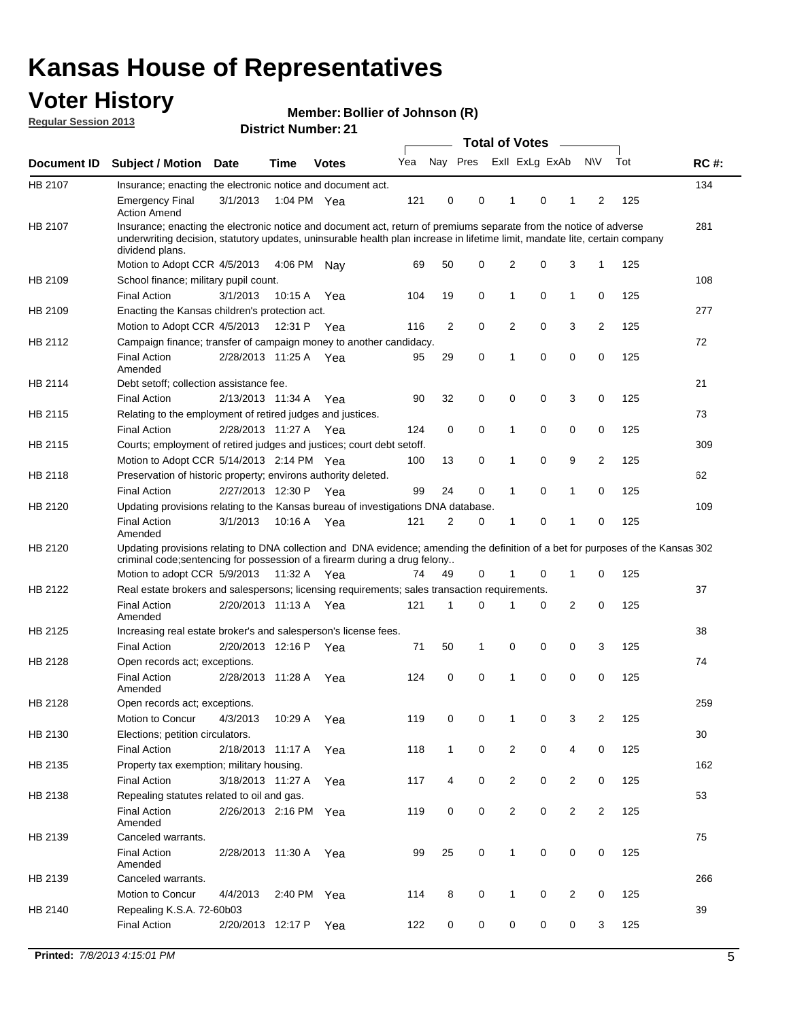## **Voter History**

**Member: Bollier of Johnson (R)** 

**Regular Session 2013**

| Nay Pres<br>Exll ExLg ExAb<br><b>NV</b><br>Tot<br>Yea<br><b>RC#:</b><br><b>Subject / Motion Date</b><br><b>Time</b><br><b>Votes</b><br>134<br>Insurance; enacting the electronic notice and document act.<br>121<br>0<br>0<br>0<br>125<br><b>Emergency Final</b><br>3/1/2013<br>1:04 PM Yea<br>1<br>1<br>2<br><b>Action Amend</b><br>Insurance; enacting the electronic notice and document act, return of premiums separate from the notice of adverse<br>281<br>underwriting decision, statutory updates, uninsurable health plan increase in lifetime limit, mandate lite, certain company<br>dividend plans.<br>Motion to Adopt CCR 4/5/2013<br>50<br>0<br>2<br>0<br>3<br>$\mathbf{1}$<br>125<br>4:06 PM<br>69<br>Nav<br>108<br>School finance; military pupil count.<br><b>Final Action</b><br>3/1/2013<br>19<br>0<br>1<br>0<br>$\mathbf{1}$<br>0<br>125<br>10:15 A<br>Yea<br>104<br>277<br>Enacting the Kansas children's protection act.<br>0<br>2<br>2<br>0<br>$\overline{2}$<br>3<br>125<br>Motion to Adopt CCR 4/5/2013<br>12:31 P Yea<br>116<br>72<br>Campaign finance; transfer of campaign money to another candidacy.<br>0<br>0<br>0<br>0<br>125<br><b>Final Action</b><br>2/28/2013 11:25 A Yea<br>95<br>29<br>1<br>Amended<br>21<br>Debt setoff: collection assistance fee.<br><b>Final Action</b><br>2/13/2013 11:34 A<br>90<br>32<br>0<br>0<br>0<br>3<br>0<br>125<br>Yea<br>Relating to the employment of retired judges and justices.<br>73<br>0<br>0<br><b>Final Action</b><br>2/28/2013 11:27 A<br>124<br>0<br>0<br>0<br>125<br>1<br>Yea<br>Courts; employment of retired judges and justices; court debt setoff.<br>309<br>9<br>2<br>125<br>Motion to Adopt CCR 5/14/2013 2:14 PM Yea<br>13<br>0<br>0<br>100<br>1<br>Preservation of historic property; environs authority deleted.<br>62<br>0<br><b>Final Action</b><br>2/27/2013 12:30 P<br>99<br>24<br>0<br>$\mathbf{1}$<br>0<br>125<br>1<br>Yea<br>Updating provisions relating to the Kansas bureau of investigations DNA database.<br>109<br><b>Final Action</b><br>3/1/2013<br>10:16 A<br>121<br>2<br>0<br>0<br>0<br>125<br>Yea<br>1<br>1<br>Amended<br>Updating provisions relating to DNA collection and DNA evidence; amending the definition of a bet for purposes of the Kansas 302<br>criminal code; sentencing for possession of a firearm during a drug felony<br>Motion to adopt CCR 5/9/2013<br>0<br>0<br>125<br>11:32 A Yea<br>74<br>49<br>0<br>$\mathbf 1$<br>1<br>Real estate brokers and salespersons; licensing requirements; sales transaction requirements.<br>37<br><b>Final Action</b><br>2/20/2013 11:13 A Yea<br>121<br>0<br>$\overline{2}$<br>0<br>125<br>1<br>0<br>Amended<br>Increasing real estate broker's and salesperson's license fees.<br>38<br><b>Final Action</b><br>2/20/2013 12:16 P<br>71<br>50<br>0<br>0<br>3<br>125<br>1<br>0<br>Yea<br>74<br>Open records act; exceptions.<br>0<br>0<br>0<br>125<br><b>Final Action</b><br>2/28/2013 11:28 A<br>0<br>0<br>124<br>1<br>Yea<br>Amended<br>259<br>Open records act; exceptions.<br>2<br>Motion to Concur<br>4/3/2013<br>10:29 A<br>119<br>0<br>0<br>0<br>3<br>125<br>1<br>Yea<br>30<br>Elections; petition circulators.<br>0<br>125<br><b>Final Action</b><br>2/18/2013 11:17 A<br>118<br>$\mathbf{1}$<br>0<br>$\overline{c}$<br>0<br>4<br>Yea<br>Property tax exemption; military housing.<br>162<br><b>Final Action</b><br>3/18/2013 11:27 A<br>4<br>0<br>$\overline{c}$<br>0<br>$\overline{2}$<br>0<br>125<br>Yea<br>117<br>Repealing statutes related to oil and gas.<br>53<br>0<br>0<br>0<br>$\overline{2}$<br><b>Final Action</b><br>2/26/2013 2:16 PM Yea<br>$\overline{2}$<br>$\overline{2}$<br>125<br>119<br>Amended<br>Canceled warrants.<br>75<br>25<br>0<br>0<br>0<br>125<br><b>Final Action</b><br>2/28/2013 11:30 A<br>99<br>1<br>0<br>Yea<br>Amended<br>Canceled warrants.<br>266<br>Motion to Concur<br>4/4/2013<br>8<br>0<br>0<br>2<br>2:40 PM Yea<br>114<br>1<br>0<br>125<br>39<br>Repealing K.S.A. 72-60b03<br><b>Final Action</b><br>0<br>0<br>0<br>125<br>2/20/2013 12:17 P<br>122<br>0<br>0<br>3<br>Yea |             |  | UIJUIUL INUIIIN <del>G</del> I . 4 I |  | <b>Total of Votes</b> |  | $\sim$ |  |  |
|-----------------------------------------------------------------------------------------------------------------------------------------------------------------------------------------------------------------------------------------------------------------------------------------------------------------------------------------------------------------------------------------------------------------------------------------------------------------------------------------------------------------------------------------------------------------------------------------------------------------------------------------------------------------------------------------------------------------------------------------------------------------------------------------------------------------------------------------------------------------------------------------------------------------------------------------------------------------------------------------------------------------------------------------------------------------------------------------------------------------------------------------------------------------------------------------------------------------------------------------------------------------------------------------------------------------------------------------------------------------------------------------------------------------------------------------------------------------------------------------------------------------------------------------------------------------------------------------------------------------------------------------------------------------------------------------------------------------------------------------------------------------------------------------------------------------------------------------------------------------------------------------------------------------------------------------------------------------------------------------------------------------------------------------------------------------------------------------------------------------------------------------------------------------------------------------------------------------------------------------------------------------------------------------------------------------------------------------------------------------------------------------------------------------------------------------------------------------------------------------------------------------------------------------------------------------------------------------------------------------------------------------------------------------------------------------------------------------------------------------------------------------------------------------------------------------------------------------------------------------------------------------------------------------------------------------------------------------------------------------------------------------------------------------------------------------------------------------------------------------------------------------------------------------------------------------------------------------------------------------------------------------------------------------------------------------------------------------------------------------------------------------------------------------------------------------------------------------------------------------------------------------------------------------------------------------------------------------------------------------------------------------------------------------------------------------------------------------------------------------------------------------------------------------------------------------------------------------------------------------------------------------------------------------------------------------------------------------------------------------------------------------------------------------------------------------------------------------------|-------------|--|--------------------------------------|--|-----------------------|--|--------|--|--|
|                                                                                                                                                                                                                                                                                                                                                                                                                                                                                                                                                                                                                                                                                                                                                                                                                                                                                                                                                                                                                                                                                                                                                                                                                                                                                                                                                                                                                                                                                                                                                                                                                                                                                                                                                                                                                                                                                                                                                                                                                                                                                                                                                                                                                                                                                                                                                                                                                                                                                                                                                                                                                                                                                                                                                                                                                                                                                                                                                                                                                                                                                                                                                                                                                                                                                                                                                                                                                                                                                                                                                                                                                                                                                                                                                                                                                                                                                                                                                                                                                                                                                               | Document ID |  |                                      |  |                       |  |        |  |  |
|                                                                                                                                                                                                                                                                                                                                                                                                                                                                                                                                                                                                                                                                                                                                                                                                                                                                                                                                                                                                                                                                                                                                                                                                                                                                                                                                                                                                                                                                                                                                                                                                                                                                                                                                                                                                                                                                                                                                                                                                                                                                                                                                                                                                                                                                                                                                                                                                                                                                                                                                                                                                                                                                                                                                                                                                                                                                                                                                                                                                                                                                                                                                                                                                                                                                                                                                                                                                                                                                                                                                                                                                                                                                                                                                                                                                                                                                                                                                                                                                                                                                                               | HB 2107     |  |                                      |  |                       |  |        |  |  |
|                                                                                                                                                                                                                                                                                                                                                                                                                                                                                                                                                                                                                                                                                                                                                                                                                                                                                                                                                                                                                                                                                                                                                                                                                                                                                                                                                                                                                                                                                                                                                                                                                                                                                                                                                                                                                                                                                                                                                                                                                                                                                                                                                                                                                                                                                                                                                                                                                                                                                                                                                                                                                                                                                                                                                                                                                                                                                                                                                                                                                                                                                                                                                                                                                                                                                                                                                                                                                                                                                                                                                                                                                                                                                                                                                                                                                                                                                                                                                                                                                                                                                               |             |  |                                      |  |                       |  |        |  |  |
|                                                                                                                                                                                                                                                                                                                                                                                                                                                                                                                                                                                                                                                                                                                                                                                                                                                                                                                                                                                                                                                                                                                                                                                                                                                                                                                                                                                                                                                                                                                                                                                                                                                                                                                                                                                                                                                                                                                                                                                                                                                                                                                                                                                                                                                                                                                                                                                                                                                                                                                                                                                                                                                                                                                                                                                                                                                                                                                                                                                                                                                                                                                                                                                                                                                                                                                                                                                                                                                                                                                                                                                                                                                                                                                                                                                                                                                                                                                                                                                                                                                                                               | HB 2107     |  |                                      |  |                       |  |        |  |  |
|                                                                                                                                                                                                                                                                                                                                                                                                                                                                                                                                                                                                                                                                                                                                                                                                                                                                                                                                                                                                                                                                                                                                                                                                                                                                                                                                                                                                                                                                                                                                                                                                                                                                                                                                                                                                                                                                                                                                                                                                                                                                                                                                                                                                                                                                                                                                                                                                                                                                                                                                                                                                                                                                                                                                                                                                                                                                                                                                                                                                                                                                                                                                                                                                                                                                                                                                                                                                                                                                                                                                                                                                                                                                                                                                                                                                                                                                                                                                                                                                                                                                                               |             |  |                                      |  |                       |  |        |  |  |
|                                                                                                                                                                                                                                                                                                                                                                                                                                                                                                                                                                                                                                                                                                                                                                                                                                                                                                                                                                                                                                                                                                                                                                                                                                                                                                                                                                                                                                                                                                                                                                                                                                                                                                                                                                                                                                                                                                                                                                                                                                                                                                                                                                                                                                                                                                                                                                                                                                                                                                                                                                                                                                                                                                                                                                                                                                                                                                                                                                                                                                                                                                                                                                                                                                                                                                                                                                                                                                                                                                                                                                                                                                                                                                                                                                                                                                                                                                                                                                                                                                                                                               | HB 2109     |  |                                      |  |                       |  |        |  |  |
|                                                                                                                                                                                                                                                                                                                                                                                                                                                                                                                                                                                                                                                                                                                                                                                                                                                                                                                                                                                                                                                                                                                                                                                                                                                                                                                                                                                                                                                                                                                                                                                                                                                                                                                                                                                                                                                                                                                                                                                                                                                                                                                                                                                                                                                                                                                                                                                                                                                                                                                                                                                                                                                                                                                                                                                                                                                                                                                                                                                                                                                                                                                                                                                                                                                                                                                                                                                                                                                                                                                                                                                                                                                                                                                                                                                                                                                                                                                                                                                                                                                                                               |             |  |                                      |  |                       |  |        |  |  |
|                                                                                                                                                                                                                                                                                                                                                                                                                                                                                                                                                                                                                                                                                                                                                                                                                                                                                                                                                                                                                                                                                                                                                                                                                                                                                                                                                                                                                                                                                                                                                                                                                                                                                                                                                                                                                                                                                                                                                                                                                                                                                                                                                                                                                                                                                                                                                                                                                                                                                                                                                                                                                                                                                                                                                                                                                                                                                                                                                                                                                                                                                                                                                                                                                                                                                                                                                                                                                                                                                                                                                                                                                                                                                                                                                                                                                                                                                                                                                                                                                                                                                               | HB 2109     |  |                                      |  |                       |  |        |  |  |
|                                                                                                                                                                                                                                                                                                                                                                                                                                                                                                                                                                                                                                                                                                                                                                                                                                                                                                                                                                                                                                                                                                                                                                                                                                                                                                                                                                                                                                                                                                                                                                                                                                                                                                                                                                                                                                                                                                                                                                                                                                                                                                                                                                                                                                                                                                                                                                                                                                                                                                                                                                                                                                                                                                                                                                                                                                                                                                                                                                                                                                                                                                                                                                                                                                                                                                                                                                                                                                                                                                                                                                                                                                                                                                                                                                                                                                                                                                                                                                                                                                                                                               |             |  |                                      |  |                       |  |        |  |  |
|                                                                                                                                                                                                                                                                                                                                                                                                                                                                                                                                                                                                                                                                                                                                                                                                                                                                                                                                                                                                                                                                                                                                                                                                                                                                                                                                                                                                                                                                                                                                                                                                                                                                                                                                                                                                                                                                                                                                                                                                                                                                                                                                                                                                                                                                                                                                                                                                                                                                                                                                                                                                                                                                                                                                                                                                                                                                                                                                                                                                                                                                                                                                                                                                                                                                                                                                                                                                                                                                                                                                                                                                                                                                                                                                                                                                                                                                                                                                                                                                                                                                                               | HB 2112     |  |                                      |  |                       |  |        |  |  |
|                                                                                                                                                                                                                                                                                                                                                                                                                                                                                                                                                                                                                                                                                                                                                                                                                                                                                                                                                                                                                                                                                                                                                                                                                                                                                                                                                                                                                                                                                                                                                                                                                                                                                                                                                                                                                                                                                                                                                                                                                                                                                                                                                                                                                                                                                                                                                                                                                                                                                                                                                                                                                                                                                                                                                                                                                                                                                                                                                                                                                                                                                                                                                                                                                                                                                                                                                                                                                                                                                                                                                                                                                                                                                                                                                                                                                                                                                                                                                                                                                                                                                               |             |  |                                      |  |                       |  |        |  |  |
|                                                                                                                                                                                                                                                                                                                                                                                                                                                                                                                                                                                                                                                                                                                                                                                                                                                                                                                                                                                                                                                                                                                                                                                                                                                                                                                                                                                                                                                                                                                                                                                                                                                                                                                                                                                                                                                                                                                                                                                                                                                                                                                                                                                                                                                                                                                                                                                                                                                                                                                                                                                                                                                                                                                                                                                                                                                                                                                                                                                                                                                                                                                                                                                                                                                                                                                                                                                                                                                                                                                                                                                                                                                                                                                                                                                                                                                                                                                                                                                                                                                                                               | HB 2114     |  |                                      |  |                       |  |        |  |  |
|                                                                                                                                                                                                                                                                                                                                                                                                                                                                                                                                                                                                                                                                                                                                                                                                                                                                                                                                                                                                                                                                                                                                                                                                                                                                                                                                                                                                                                                                                                                                                                                                                                                                                                                                                                                                                                                                                                                                                                                                                                                                                                                                                                                                                                                                                                                                                                                                                                                                                                                                                                                                                                                                                                                                                                                                                                                                                                                                                                                                                                                                                                                                                                                                                                                                                                                                                                                                                                                                                                                                                                                                                                                                                                                                                                                                                                                                                                                                                                                                                                                                                               |             |  |                                      |  |                       |  |        |  |  |
|                                                                                                                                                                                                                                                                                                                                                                                                                                                                                                                                                                                                                                                                                                                                                                                                                                                                                                                                                                                                                                                                                                                                                                                                                                                                                                                                                                                                                                                                                                                                                                                                                                                                                                                                                                                                                                                                                                                                                                                                                                                                                                                                                                                                                                                                                                                                                                                                                                                                                                                                                                                                                                                                                                                                                                                                                                                                                                                                                                                                                                                                                                                                                                                                                                                                                                                                                                                                                                                                                                                                                                                                                                                                                                                                                                                                                                                                                                                                                                                                                                                                                               | HB 2115     |  |                                      |  |                       |  |        |  |  |
|                                                                                                                                                                                                                                                                                                                                                                                                                                                                                                                                                                                                                                                                                                                                                                                                                                                                                                                                                                                                                                                                                                                                                                                                                                                                                                                                                                                                                                                                                                                                                                                                                                                                                                                                                                                                                                                                                                                                                                                                                                                                                                                                                                                                                                                                                                                                                                                                                                                                                                                                                                                                                                                                                                                                                                                                                                                                                                                                                                                                                                                                                                                                                                                                                                                                                                                                                                                                                                                                                                                                                                                                                                                                                                                                                                                                                                                                                                                                                                                                                                                                                               |             |  |                                      |  |                       |  |        |  |  |
|                                                                                                                                                                                                                                                                                                                                                                                                                                                                                                                                                                                                                                                                                                                                                                                                                                                                                                                                                                                                                                                                                                                                                                                                                                                                                                                                                                                                                                                                                                                                                                                                                                                                                                                                                                                                                                                                                                                                                                                                                                                                                                                                                                                                                                                                                                                                                                                                                                                                                                                                                                                                                                                                                                                                                                                                                                                                                                                                                                                                                                                                                                                                                                                                                                                                                                                                                                                                                                                                                                                                                                                                                                                                                                                                                                                                                                                                                                                                                                                                                                                                                               | HB 2115     |  |                                      |  |                       |  |        |  |  |
|                                                                                                                                                                                                                                                                                                                                                                                                                                                                                                                                                                                                                                                                                                                                                                                                                                                                                                                                                                                                                                                                                                                                                                                                                                                                                                                                                                                                                                                                                                                                                                                                                                                                                                                                                                                                                                                                                                                                                                                                                                                                                                                                                                                                                                                                                                                                                                                                                                                                                                                                                                                                                                                                                                                                                                                                                                                                                                                                                                                                                                                                                                                                                                                                                                                                                                                                                                                                                                                                                                                                                                                                                                                                                                                                                                                                                                                                                                                                                                                                                                                                                               |             |  |                                      |  |                       |  |        |  |  |
|                                                                                                                                                                                                                                                                                                                                                                                                                                                                                                                                                                                                                                                                                                                                                                                                                                                                                                                                                                                                                                                                                                                                                                                                                                                                                                                                                                                                                                                                                                                                                                                                                                                                                                                                                                                                                                                                                                                                                                                                                                                                                                                                                                                                                                                                                                                                                                                                                                                                                                                                                                                                                                                                                                                                                                                                                                                                                                                                                                                                                                                                                                                                                                                                                                                                                                                                                                                                                                                                                                                                                                                                                                                                                                                                                                                                                                                                                                                                                                                                                                                                                               | HB 2118     |  |                                      |  |                       |  |        |  |  |
|                                                                                                                                                                                                                                                                                                                                                                                                                                                                                                                                                                                                                                                                                                                                                                                                                                                                                                                                                                                                                                                                                                                                                                                                                                                                                                                                                                                                                                                                                                                                                                                                                                                                                                                                                                                                                                                                                                                                                                                                                                                                                                                                                                                                                                                                                                                                                                                                                                                                                                                                                                                                                                                                                                                                                                                                                                                                                                                                                                                                                                                                                                                                                                                                                                                                                                                                                                                                                                                                                                                                                                                                                                                                                                                                                                                                                                                                                                                                                                                                                                                                                               |             |  |                                      |  |                       |  |        |  |  |
|                                                                                                                                                                                                                                                                                                                                                                                                                                                                                                                                                                                                                                                                                                                                                                                                                                                                                                                                                                                                                                                                                                                                                                                                                                                                                                                                                                                                                                                                                                                                                                                                                                                                                                                                                                                                                                                                                                                                                                                                                                                                                                                                                                                                                                                                                                                                                                                                                                                                                                                                                                                                                                                                                                                                                                                                                                                                                                                                                                                                                                                                                                                                                                                                                                                                                                                                                                                                                                                                                                                                                                                                                                                                                                                                                                                                                                                                                                                                                                                                                                                                                               | HB 2120     |  |                                      |  |                       |  |        |  |  |
|                                                                                                                                                                                                                                                                                                                                                                                                                                                                                                                                                                                                                                                                                                                                                                                                                                                                                                                                                                                                                                                                                                                                                                                                                                                                                                                                                                                                                                                                                                                                                                                                                                                                                                                                                                                                                                                                                                                                                                                                                                                                                                                                                                                                                                                                                                                                                                                                                                                                                                                                                                                                                                                                                                                                                                                                                                                                                                                                                                                                                                                                                                                                                                                                                                                                                                                                                                                                                                                                                                                                                                                                                                                                                                                                                                                                                                                                                                                                                                                                                                                                                               |             |  |                                      |  |                       |  |        |  |  |
|                                                                                                                                                                                                                                                                                                                                                                                                                                                                                                                                                                                                                                                                                                                                                                                                                                                                                                                                                                                                                                                                                                                                                                                                                                                                                                                                                                                                                                                                                                                                                                                                                                                                                                                                                                                                                                                                                                                                                                                                                                                                                                                                                                                                                                                                                                                                                                                                                                                                                                                                                                                                                                                                                                                                                                                                                                                                                                                                                                                                                                                                                                                                                                                                                                                                                                                                                                                                                                                                                                                                                                                                                                                                                                                                                                                                                                                                                                                                                                                                                                                                                               | HB 2120     |  |                                      |  |                       |  |        |  |  |
|                                                                                                                                                                                                                                                                                                                                                                                                                                                                                                                                                                                                                                                                                                                                                                                                                                                                                                                                                                                                                                                                                                                                                                                                                                                                                                                                                                                                                                                                                                                                                                                                                                                                                                                                                                                                                                                                                                                                                                                                                                                                                                                                                                                                                                                                                                                                                                                                                                                                                                                                                                                                                                                                                                                                                                                                                                                                                                                                                                                                                                                                                                                                                                                                                                                                                                                                                                                                                                                                                                                                                                                                                                                                                                                                                                                                                                                                                                                                                                                                                                                                                               | HB 2122     |  |                                      |  |                       |  |        |  |  |
|                                                                                                                                                                                                                                                                                                                                                                                                                                                                                                                                                                                                                                                                                                                                                                                                                                                                                                                                                                                                                                                                                                                                                                                                                                                                                                                                                                                                                                                                                                                                                                                                                                                                                                                                                                                                                                                                                                                                                                                                                                                                                                                                                                                                                                                                                                                                                                                                                                                                                                                                                                                                                                                                                                                                                                                                                                                                                                                                                                                                                                                                                                                                                                                                                                                                                                                                                                                                                                                                                                                                                                                                                                                                                                                                                                                                                                                                                                                                                                                                                                                                                               |             |  |                                      |  |                       |  |        |  |  |
|                                                                                                                                                                                                                                                                                                                                                                                                                                                                                                                                                                                                                                                                                                                                                                                                                                                                                                                                                                                                                                                                                                                                                                                                                                                                                                                                                                                                                                                                                                                                                                                                                                                                                                                                                                                                                                                                                                                                                                                                                                                                                                                                                                                                                                                                                                                                                                                                                                                                                                                                                                                                                                                                                                                                                                                                                                                                                                                                                                                                                                                                                                                                                                                                                                                                                                                                                                                                                                                                                                                                                                                                                                                                                                                                                                                                                                                                                                                                                                                                                                                                                               | HB 2125     |  |                                      |  |                       |  |        |  |  |
|                                                                                                                                                                                                                                                                                                                                                                                                                                                                                                                                                                                                                                                                                                                                                                                                                                                                                                                                                                                                                                                                                                                                                                                                                                                                                                                                                                                                                                                                                                                                                                                                                                                                                                                                                                                                                                                                                                                                                                                                                                                                                                                                                                                                                                                                                                                                                                                                                                                                                                                                                                                                                                                                                                                                                                                                                                                                                                                                                                                                                                                                                                                                                                                                                                                                                                                                                                                                                                                                                                                                                                                                                                                                                                                                                                                                                                                                                                                                                                                                                                                                                               |             |  |                                      |  |                       |  |        |  |  |
|                                                                                                                                                                                                                                                                                                                                                                                                                                                                                                                                                                                                                                                                                                                                                                                                                                                                                                                                                                                                                                                                                                                                                                                                                                                                                                                                                                                                                                                                                                                                                                                                                                                                                                                                                                                                                                                                                                                                                                                                                                                                                                                                                                                                                                                                                                                                                                                                                                                                                                                                                                                                                                                                                                                                                                                                                                                                                                                                                                                                                                                                                                                                                                                                                                                                                                                                                                                                                                                                                                                                                                                                                                                                                                                                                                                                                                                                                                                                                                                                                                                                                               | HB 2128     |  |                                      |  |                       |  |        |  |  |
|                                                                                                                                                                                                                                                                                                                                                                                                                                                                                                                                                                                                                                                                                                                                                                                                                                                                                                                                                                                                                                                                                                                                                                                                                                                                                                                                                                                                                                                                                                                                                                                                                                                                                                                                                                                                                                                                                                                                                                                                                                                                                                                                                                                                                                                                                                                                                                                                                                                                                                                                                                                                                                                                                                                                                                                                                                                                                                                                                                                                                                                                                                                                                                                                                                                                                                                                                                                                                                                                                                                                                                                                                                                                                                                                                                                                                                                                                                                                                                                                                                                                                               |             |  |                                      |  |                       |  |        |  |  |
|                                                                                                                                                                                                                                                                                                                                                                                                                                                                                                                                                                                                                                                                                                                                                                                                                                                                                                                                                                                                                                                                                                                                                                                                                                                                                                                                                                                                                                                                                                                                                                                                                                                                                                                                                                                                                                                                                                                                                                                                                                                                                                                                                                                                                                                                                                                                                                                                                                                                                                                                                                                                                                                                                                                                                                                                                                                                                                                                                                                                                                                                                                                                                                                                                                                                                                                                                                                                                                                                                                                                                                                                                                                                                                                                                                                                                                                                                                                                                                                                                                                                                               | HB 2128     |  |                                      |  |                       |  |        |  |  |
|                                                                                                                                                                                                                                                                                                                                                                                                                                                                                                                                                                                                                                                                                                                                                                                                                                                                                                                                                                                                                                                                                                                                                                                                                                                                                                                                                                                                                                                                                                                                                                                                                                                                                                                                                                                                                                                                                                                                                                                                                                                                                                                                                                                                                                                                                                                                                                                                                                                                                                                                                                                                                                                                                                                                                                                                                                                                                                                                                                                                                                                                                                                                                                                                                                                                                                                                                                                                                                                                                                                                                                                                                                                                                                                                                                                                                                                                                                                                                                                                                                                                                               |             |  |                                      |  |                       |  |        |  |  |
|                                                                                                                                                                                                                                                                                                                                                                                                                                                                                                                                                                                                                                                                                                                                                                                                                                                                                                                                                                                                                                                                                                                                                                                                                                                                                                                                                                                                                                                                                                                                                                                                                                                                                                                                                                                                                                                                                                                                                                                                                                                                                                                                                                                                                                                                                                                                                                                                                                                                                                                                                                                                                                                                                                                                                                                                                                                                                                                                                                                                                                                                                                                                                                                                                                                                                                                                                                                                                                                                                                                                                                                                                                                                                                                                                                                                                                                                                                                                                                                                                                                                                               | HB 2130     |  |                                      |  |                       |  |        |  |  |
|                                                                                                                                                                                                                                                                                                                                                                                                                                                                                                                                                                                                                                                                                                                                                                                                                                                                                                                                                                                                                                                                                                                                                                                                                                                                                                                                                                                                                                                                                                                                                                                                                                                                                                                                                                                                                                                                                                                                                                                                                                                                                                                                                                                                                                                                                                                                                                                                                                                                                                                                                                                                                                                                                                                                                                                                                                                                                                                                                                                                                                                                                                                                                                                                                                                                                                                                                                                                                                                                                                                                                                                                                                                                                                                                                                                                                                                                                                                                                                                                                                                                                               |             |  |                                      |  |                       |  |        |  |  |
|                                                                                                                                                                                                                                                                                                                                                                                                                                                                                                                                                                                                                                                                                                                                                                                                                                                                                                                                                                                                                                                                                                                                                                                                                                                                                                                                                                                                                                                                                                                                                                                                                                                                                                                                                                                                                                                                                                                                                                                                                                                                                                                                                                                                                                                                                                                                                                                                                                                                                                                                                                                                                                                                                                                                                                                                                                                                                                                                                                                                                                                                                                                                                                                                                                                                                                                                                                                                                                                                                                                                                                                                                                                                                                                                                                                                                                                                                                                                                                                                                                                                                               | HB 2135     |  |                                      |  |                       |  |        |  |  |
|                                                                                                                                                                                                                                                                                                                                                                                                                                                                                                                                                                                                                                                                                                                                                                                                                                                                                                                                                                                                                                                                                                                                                                                                                                                                                                                                                                                                                                                                                                                                                                                                                                                                                                                                                                                                                                                                                                                                                                                                                                                                                                                                                                                                                                                                                                                                                                                                                                                                                                                                                                                                                                                                                                                                                                                                                                                                                                                                                                                                                                                                                                                                                                                                                                                                                                                                                                                                                                                                                                                                                                                                                                                                                                                                                                                                                                                                                                                                                                                                                                                                                               |             |  |                                      |  |                       |  |        |  |  |
|                                                                                                                                                                                                                                                                                                                                                                                                                                                                                                                                                                                                                                                                                                                                                                                                                                                                                                                                                                                                                                                                                                                                                                                                                                                                                                                                                                                                                                                                                                                                                                                                                                                                                                                                                                                                                                                                                                                                                                                                                                                                                                                                                                                                                                                                                                                                                                                                                                                                                                                                                                                                                                                                                                                                                                                                                                                                                                                                                                                                                                                                                                                                                                                                                                                                                                                                                                                                                                                                                                                                                                                                                                                                                                                                                                                                                                                                                                                                                                                                                                                                                               | HB 2138     |  |                                      |  |                       |  |        |  |  |
|                                                                                                                                                                                                                                                                                                                                                                                                                                                                                                                                                                                                                                                                                                                                                                                                                                                                                                                                                                                                                                                                                                                                                                                                                                                                                                                                                                                                                                                                                                                                                                                                                                                                                                                                                                                                                                                                                                                                                                                                                                                                                                                                                                                                                                                                                                                                                                                                                                                                                                                                                                                                                                                                                                                                                                                                                                                                                                                                                                                                                                                                                                                                                                                                                                                                                                                                                                                                                                                                                                                                                                                                                                                                                                                                                                                                                                                                                                                                                                                                                                                                                               |             |  |                                      |  |                       |  |        |  |  |
|                                                                                                                                                                                                                                                                                                                                                                                                                                                                                                                                                                                                                                                                                                                                                                                                                                                                                                                                                                                                                                                                                                                                                                                                                                                                                                                                                                                                                                                                                                                                                                                                                                                                                                                                                                                                                                                                                                                                                                                                                                                                                                                                                                                                                                                                                                                                                                                                                                                                                                                                                                                                                                                                                                                                                                                                                                                                                                                                                                                                                                                                                                                                                                                                                                                                                                                                                                                                                                                                                                                                                                                                                                                                                                                                                                                                                                                                                                                                                                                                                                                                                               | HB 2139     |  |                                      |  |                       |  |        |  |  |
|                                                                                                                                                                                                                                                                                                                                                                                                                                                                                                                                                                                                                                                                                                                                                                                                                                                                                                                                                                                                                                                                                                                                                                                                                                                                                                                                                                                                                                                                                                                                                                                                                                                                                                                                                                                                                                                                                                                                                                                                                                                                                                                                                                                                                                                                                                                                                                                                                                                                                                                                                                                                                                                                                                                                                                                                                                                                                                                                                                                                                                                                                                                                                                                                                                                                                                                                                                                                                                                                                                                                                                                                                                                                                                                                                                                                                                                                                                                                                                                                                                                                                               |             |  |                                      |  |                       |  |        |  |  |
|                                                                                                                                                                                                                                                                                                                                                                                                                                                                                                                                                                                                                                                                                                                                                                                                                                                                                                                                                                                                                                                                                                                                                                                                                                                                                                                                                                                                                                                                                                                                                                                                                                                                                                                                                                                                                                                                                                                                                                                                                                                                                                                                                                                                                                                                                                                                                                                                                                                                                                                                                                                                                                                                                                                                                                                                                                                                                                                                                                                                                                                                                                                                                                                                                                                                                                                                                                                                                                                                                                                                                                                                                                                                                                                                                                                                                                                                                                                                                                                                                                                                                               | HB 2139     |  |                                      |  |                       |  |        |  |  |
|                                                                                                                                                                                                                                                                                                                                                                                                                                                                                                                                                                                                                                                                                                                                                                                                                                                                                                                                                                                                                                                                                                                                                                                                                                                                                                                                                                                                                                                                                                                                                                                                                                                                                                                                                                                                                                                                                                                                                                                                                                                                                                                                                                                                                                                                                                                                                                                                                                                                                                                                                                                                                                                                                                                                                                                                                                                                                                                                                                                                                                                                                                                                                                                                                                                                                                                                                                                                                                                                                                                                                                                                                                                                                                                                                                                                                                                                                                                                                                                                                                                                                               |             |  |                                      |  |                       |  |        |  |  |
|                                                                                                                                                                                                                                                                                                                                                                                                                                                                                                                                                                                                                                                                                                                                                                                                                                                                                                                                                                                                                                                                                                                                                                                                                                                                                                                                                                                                                                                                                                                                                                                                                                                                                                                                                                                                                                                                                                                                                                                                                                                                                                                                                                                                                                                                                                                                                                                                                                                                                                                                                                                                                                                                                                                                                                                                                                                                                                                                                                                                                                                                                                                                                                                                                                                                                                                                                                                                                                                                                                                                                                                                                                                                                                                                                                                                                                                                                                                                                                                                                                                                                               | HB 2140     |  |                                      |  |                       |  |        |  |  |
|                                                                                                                                                                                                                                                                                                                                                                                                                                                                                                                                                                                                                                                                                                                                                                                                                                                                                                                                                                                                                                                                                                                                                                                                                                                                                                                                                                                                                                                                                                                                                                                                                                                                                                                                                                                                                                                                                                                                                                                                                                                                                                                                                                                                                                                                                                                                                                                                                                                                                                                                                                                                                                                                                                                                                                                                                                                                                                                                                                                                                                                                                                                                                                                                                                                                                                                                                                                                                                                                                                                                                                                                                                                                                                                                                                                                                                                                                                                                                                                                                                                                                               |             |  |                                      |  |                       |  |        |  |  |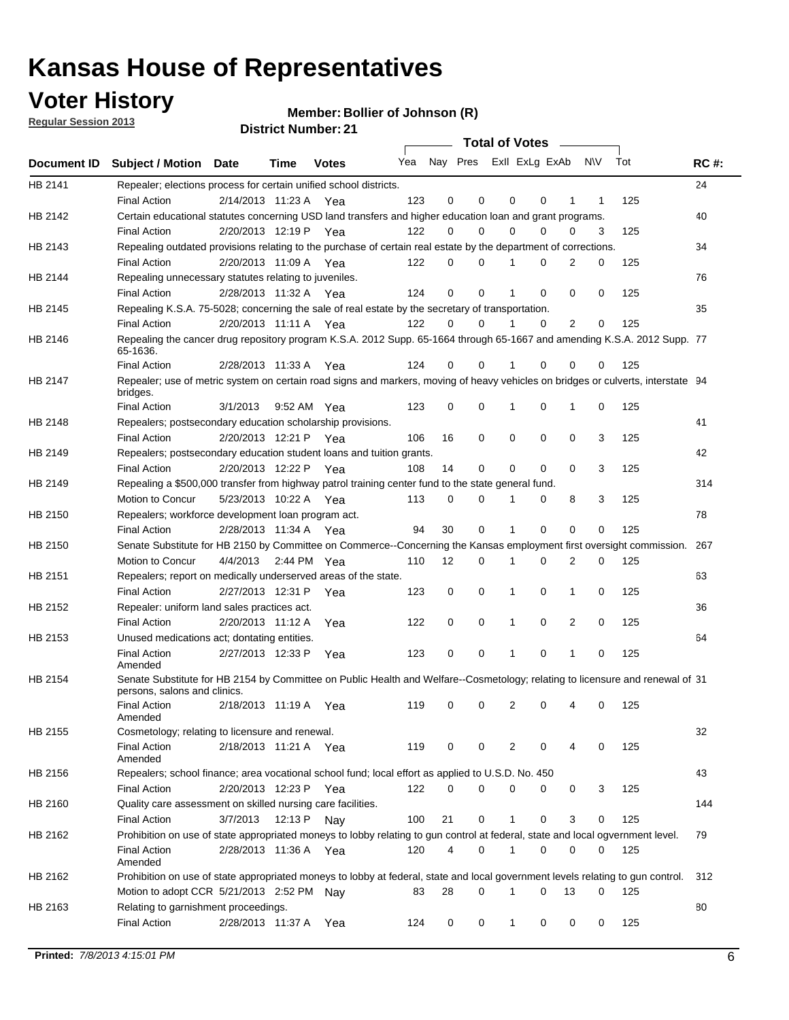## **Voter History**

**Member: Bollier of Johnson (R)** 

**Regular Session 2013**

|                    |                                                                                                                                              |          |                       |              |     |    | <b>Total of Votes</b>   |              |          | $\sim 100$  |     |     |             |
|--------------------|----------------------------------------------------------------------------------------------------------------------------------------------|----------|-----------------------|--------------|-----|----|-------------------------|--------------|----------|-------------|-----|-----|-------------|
| <b>Document ID</b> | <b>Subject / Motion Date</b>                                                                                                                 |          | Time                  | <b>Votes</b> | Yea |    | Nay Pres ExII ExLg ExAb |              |          |             | N\V | Tot | <b>RC#:</b> |
| HB 2141            | Repealer; elections process for certain unified school districts.                                                                            |          |                       |              |     |    |                         |              |          |             |     |     | 24          |
|                    | <b>Final Action</b>                                                                                                                          |          | 2/14/2013 11:23 A     | Yea          | 123 | 0  | 0                       | 0            | 0        | 1           | 1   | 125 |             |
| HB 2142            | Certain educational statutes concerning USD land transfers and higher education loan and grant programs.                                     |          |                       |              |     |    |                         |              |          |             |     |     | 40          |
|                    | <b>Final Action</b>                                                                                                                          |          | 2/20/2013 12:19 P Yea |              | 122 | 0  | 0                       | 0            | $\Omega$ | 0           | 3   | 125 |             |
| HB 2143            | Repealing outdated provisions relating to the purchase of certain real estate by the department of corrections.                              |          |                       |              |     |    |                         |              |          |             |     |     | 34          |
|                    | <b>Final Action</b>                                                                                                                          |          | 2/20/2013 11:09 A Yea |              | 122 | 0  | 0                       | 1            | 0        | 2           | 0   | 125 |             |
| HB 2144            | Repealing unnecessary statutes relating to juveniles.                                                                                        |          |                       |              |     |    |                         |              |          |             |     |     | 76          |
|                    | <b>Final Action</b>                                                                                                                          |          | 2/28/2013 11:32 A Yea |              | 124 | 0  | 0                       | 1            | 0        | 0           | 0   | 125 |             |
| HB 2145            | Repealing K.S.A. 75-5028; concerning the sale of real estate by the secretary of transportation.                                             |          |                       |              |     |    |                         |              |          |             |     |     | 35          |
|                    | <b>Final Action</b>                                                                                                                          |          | 2/20/2013 11:11 A Yea |              | 122 | 0  | 0                       | 1            | 0        | 2           | 0   | 125 |             |
| HB 2146            | Repealing the cancer drug repository program K.S.A. 2012 Supp. 65-1664 through 65-1667 and amending K.S.A. 2012 Supp. 77<br>65-1636.         |          |                       |              |     |    |                         |              |          |             |     |     |             |
|                    | <b>Final Action</b>                                                                                                                          |          | 2/28/2013 11:33 A     | Yea          | 124 | 0  | 0                       | 1            | $\Omega$ | 0           | 0   | 125 |             |
| HB 2147            | Repealer; use of metric system on certain road signs and markers, moving of heavy vehicles on bridges or culverts, interstate 94<br>bridges. |          |                       |              |     |    |                         |              |          |             |     |     |             |
|                    | <b>Final Action</b>                                                                                                                          | 3/1/2013 |                       | 9:52 AM Yea  | 123 | 0  | 0                       |              | 0        | 1           | 0   | 125 |             |
| HB 2148            | Repealers; postsecondary education scholarship provisions.                                                                                   |          |                       |              |     |    |                         |              |          |             |     |     | 41          |
|                    | <b>Final Action</b>                                                                                                                          |          | 2/20/2013 12:21 P     | Yea          | 106 | 16 | $\mathbf 0$             | 0            | 0        | $\mathbf 0$ | 3   | 125 |             |
| HB 2149            | Repealers; postsecondary education student loans and tuition grants.                                                                         |          |                       |              |     |    |                         |              |          |             |     |     | 42          |
|                    | <b>Final Action</b>                                                                                                                          |          | 2/20/2013 12:22 P     | Yea          | 108 | 14 | 0                       | 0            | $\Omega$ | $\Omega$    | 3   | 125 |             |
| HB 2149            | Repealing a \$500,000 transfer from highway patrol training center fund to the state general fund.                                           |          |                       |              |     |    |                         |              |          |             |     |     | 314         |
|                    | Motion to Concur                                                                                                                             |          | 5/23/2013 10:22 A Yea |              | 113 | 0  | 0                       |              | 0        | 8           | 3   | 125 |             |
| HB 2150            | Repealers; workforce development loan program act.                                                                                           |          |                       |              |     |    |                         |              |          |             |     |     | 78          |
|                    | <b>Final Action</b>                                                                                                                          |          | 2/28/2013 11:34 A Yea |              | 94  | 30 | $\mathbf 0$             | 1            | 0        | 0           | 0   | 125 |             |
| HB 2150            | Senate Substitute for HB 2150 by Committee on Commerce--Concerning the Kansas employment first oversight commission.                         |          |                       |              |     |    |                         |              |          |             |     |     | 267         |
|                    | Motion to Concur                                                                                                                             |          | 4/4/2013 2:44 PM Yea  |              | 110 | 12 | 0                       | 1            | 0        | 2           | 0   | 125 |             |
| HB 2151            | Repealers; report on medically underserved areas of the state.                                                                               |          |                       |              |     |    |                         |              |          |             |     |     | 63          |
|                    | <b>Final Action</b>                                                                                                                          |          | 2/27/2013 12:31 P     | Yea          | 123 | 0  | $\mathbf 0$             | 1            | 0        | 1           | 0   | 125 |             |
| HB 2152            | Repealer: uniform land sales practices act.                                                                                                  |          |                       |              |     |    |                         |              |          |             |     |     | 36          |
|                    | <b>Final Action</b>                                                                                                                          |          | 2/20/2013 11:12 A     | Yea          | 122 | 0  | $\mathbf 0$             | 1            | 0        | 2           | 0   | 125 |             |
| HB 2153            | Unused medications act; dontating entities.                                                                                                  |          |                       |              |     |    |                         |              |          |             |     |     | 64          |
|                    | <b>Final Action</b><br>Amended                                                                                                               |          | 2/27/2013 12:33 P     | Yea          | 123 | 0  | 0                       | 1            | 0        | 1           | 0   | 125 |             |
| HB 2154            | Senate Substitute for HB 2154 by Committee on Public Health and Welfare--Cosmetology; relating to licensure and renewal of 31                |          |                       |              |     |    |                         |              |          |             |     |     |             |
|                    | persons, salons and clinics.<br><b>Final Action</b><br>Amended                                                                               |          | 2/18/2013 11:19 A     | Yea          | 119 | 0  | 0                       | 2            | 0        | 4           | 0   | 125 |             |
| HB 2155            | Cosmetology; relating to licensure and renewal.                                                                                              |          |                       |              |     |    |                         |              |          |             |     |     | 32          |
|                    | <b>Final Action</b><br>Amended                                                                                                               |          | 2/18/2013 11:21 A Yea |              | 119 | 0  | 0                       | 2            | $\Omega$ |             | 0   | 125 |             |
| HB 2156            | Repealers; school finance; area vocational school fund; local effort as applied to U.S.D. No. 450                                            |          |                       |              |     |    |                         |              |          |             |     |     | 43          |
|                    | <b>Final Action</b>                                                                                                                          |          | 2/20/2013 12:23 P     | Yea          | 122 | 0  | 0                       | 0            | 0        | 0           | 3   | 125 |             |
| HB 2160            | Quality care assessment on skilled nursing care facilities.                                                                                  |          |                       |              |     |    |                         |              |          |             |     |     | 144         |
|                    | <b>Final Action</b>                                                                                                                          | 3/7/2013 | 12:13 P               | Nav          | 100 | 21 | 0                       | 1            | 0        | 3           | 0   | 125 |             |
| HB 2162            | Prohibition on use of state appropriated moneys to lobby relating to gun control at federal, state and local ogvernment level.               |          |                       |              |     |    |                         |              |          |             |     |     | 79          |
|                    | <b>Final Action</b><br>Amended                                                                                                               |          | 2/28/2013 11:36 A Yea |              | 120 | 4  | 0                       | $\mathbf 1$  | 0        | 0           | 0   | 125 |             |
| HB 2162            | Prohibition on use of state appropriated moneys to lobby at federal, state and local government levels relating to gun control.              |          |                       |              |     |    |                         |              |          |             |     |     | 312         |
|                    | Motion to adopt CCR 5/21/2013 2:52 PM Nay                                                                                                    |          |                       |              | 83  | 28 | 0                       |              | 0        | 13          | 0   | 125 |             |
| HB 2163            | Relating to garnishment proceedings.                                                                                                         |          |                       |              |     |    |                         |              |          |             |     |     | 80          |
|                    | <b>Final Action</b>                                                                                                                          |          | 2/28/2013 11:37 A     | Yea          | 124 | 0  | 0                       | $\mathbf{1}$ | 0        | 0           | 0   | 125 |             |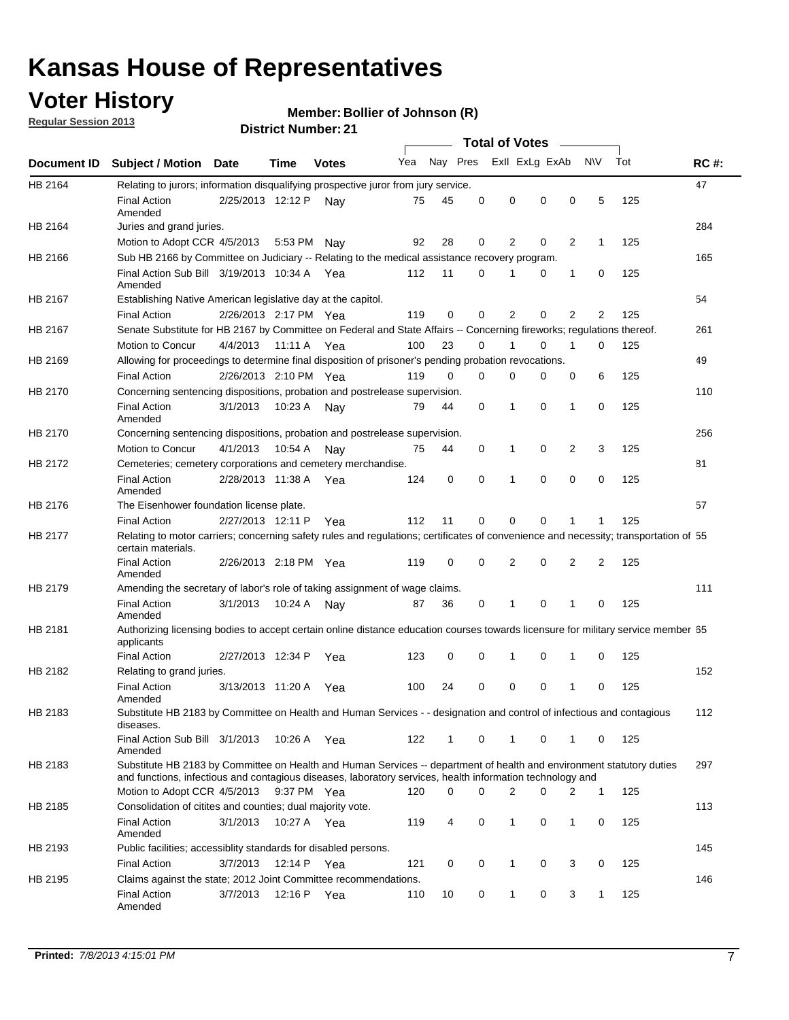## **Voter History**

**Member: Bollier of Johnson (R)** 

**Regular Session 2013**

|             |                                                                                                                                                                                                                                    |                       | PIJU IVI I VUI IIVU . 4 I |              |     |          |          | <b>Total of Votes</b> |   | $\overline{\phantom{a}}$ |                |     |             |
|-------------|------------------------------------------------------------------------------------------------------------------------------------------------------------------------------------------------------------------------------------|-----------------------|---------------------------|--------------|-----|----------|----------|-----------------------|---|--------------------------|----------------|-----|-------------|
| Document ID | <b>Subject / Motion Date</b>                                                                                                                                                                                                       |                       | Time                      | <b>Votes</b> | Yea | Nay Pres |          | Exll ExLg ExAb        |   |                          | N\V            | Tot | <b>RC#:</b> |
| HB 2164     | Relating to jurors; information disqualifying prospective juror from jury service.                                                                                                                                                 |                       |                           |              |     |          |          |                       |   |                          |                |     | 47          |
|             | <b>Final Action</b><br>Amended                                                                                                                                                                                                     | 2/25/2013 12:12 P     |                           | Nav          | 75  | 45       | 0        | 0                     | 0 | 0                        | 5              | 125 |             |
| HB 2164     | Juries and grand juries.                                                                                                                                                                                                           |                       |                           |              |     |          |          |                       |   |                          |                |     | 284         |
|             | Motion to Adopt CCR 4/5/2013                                                                                                                                                                                                       |                       | 5:53 PM                   | Nav          | 92  | 28       | 0        | 2                     | 0 | $\overline{2}$           | $\mathbf{1}$   | 125 |             |
| HB 2166     | Sub HB 2166 by Committee on Judiciary -- Relating to the medical assistance recovery program.                                                                                                                                      |                       |                           |              |     |          |          |                       |   |                          |                |     | 165         |
|             | Final Action Sub Bill 3/19/2013 10:34 A Yea<br>Amended                                                                                                                                                                             |                       |                           |              | 112 | 11       | $\Omega$ |                       | 0 | 1                        | 0              | 125 |             |
| HB 2167     | Establishing Native American legislative day at the capitol.                                                                                                                                                                       |                       |                           |              |     |          |          |                       |   |                          |                |     | 54          |
|             | <b>Final Action</b>                                                                                                                                                                                                                | 2/26/2013 2:17 PM Yea |                           |              | 119 | 0        | $\Omega$ | 2                     | 0 | $\overline{2}$           | 2              | 125 |             |
| HB 2167     | Senate Substitute for HB 2167 by Committee on Federal and State Affairs -- Concerning fireworks; regulations thereof.                                                                                                              |                       |                           |              |     |          |          |                       |   |                          |                |     | 261         |
|             | Motion to Concur                                                                                                                                                                                                                   | 4/4/2013              | 11:11 A Yea               |              | 100 | 23       | 0        | 1                     | 0 | 1                        | 0              | 125 |             |
| HB 2169     | Allowing for proceedings to determine final disposition of prisoner's pending probation revocations.                                                                                                                               |                       |                           |              |     |          |          |                       |   |                          |                |     | 49          |
|             | <b>Final Action</b>                                                                                                                                                                                                                | 2/26/2013 2:10 PM Yea |                           |              | 119 | 0        | 0        | 0                     | 0 | 0                        | 6              | 125 |             |
| HB 2170     | Concerning sentencing dispositions, probation and postrelease supervision.                                                                                                                                                         |                       |                           |              |     |          |          |                       |   |                          |                |     | 110         |
|             | <b>Final Action</b><br>Amended                                                                                                                                                                                                     | 3/1/2013              | 10:23 A                   | Nay          | 79  | 44       | 0        | 1                     | 0 | 1                        | 0              | 125 |             |
| HB 2170     | Concerning sentencing dispositions, probation and postrelease supervision.                                                                                                                                                         |                       |                           |              |     |          |          |                       |   |                          |                |     | 256         |
|             | <b>Motion to Concur</b>                                                                                                                                                                                                            | 4/1/2013              | 10:54 A                   | Nay          | 75  | 44       | 0        | 1                     | 0 | $\overline{2}$           | 3              | 125 |             |
| HB 2172     | Cemeteries; cemetery corporations and cemetery merchandise.                                                                                                                                                                        |                       |                           |              |     |          |          |                       |   |                          |                |     | 81          |
|             | <b>Final Action</b><br>Amended                                                                                                                                                                                                     | 2/28/2013 11:38 A Yea |                           |              | 124 | 0        | 0        | 1                     | 0 | $\Omega$                 | 0              | 125 |             |
| HB 2176     | The Eisenhower foundation license plate.                                                                                                                                                                                           |                       |                           |              |     |          |          |                       |   |                          |                |     | 57          |
|             | <b>Final Action</b>                                                                                                                                                                                                                | 2/27/2013 12:11 P     |                           | Yea          | 112 | 11       | $\Omega$ | 0                     | 0 | 1                        | 1              | 125 |             |
| HB 2177     | Relating to motor carriers; concerning safety rules and regulations; certificates of convenience and necessity; transportation of 55<br>certain materials.                                                                         |                       |                           |              |     |          |          |                       |   |                          |                |     |             |
|             | <b>Final Action</b><br>Amended                                                                                                                                                                                                     | 2/26/2013 2:18 PM Yea |                           |              | 119 | 0        | $\Omega$ | 2                     | 0 | $\overline{2}$           | $\overline{2}$ | 125 |             |
| HB 2179     | Amending the secretary of labor's role of taking assignment of wage claims.                                                                                                                                                        |                       |                           |              |     |          |          |                       |   |                          |                |     | 111         |
|             | <b>Final Action</b><br>Amended                                                                                                                                                                                                     | 3/1/2013              | 10:24 A                   | Nav          | 87  | 36       | 0        | 1                     | 0 | 1                        | 0              | 125 |             |
| HB 2181     | Authorizing licensing bodies to accept certain online distance education courses towards licensure for military service member 55<br>applicants                                                                                    |                       |                           |              |     |          |          |                       |   |                          |                |     |             |
|             | <b>Final Action</b>                                                                                                                                                                                                                | 2/27/2013 12:34 P     |                           | Yea          | 123 | 0        | 0        |                       | 0 | 1                        | 0              | 125 |             |
| HB 2182     | Relating to grand juries.                                                                                                                                                                                                          |                       |                           |              |     |          |          |                       |   |                          |                |     | 152         |
|             | <b>Final Action</b><br>Amended                                                                                                                                                                                                     | 3/13/2013 11:20 A     |                           | Yea          | 100 | 24       | 0        | 0                     | 0 | 1                        | 0              | 125 |             |
| HB 2183     | Substitute HB 2183 by Committee on Health and Human Services - - designation and control of infectious and contagious<br>diseases.                                                                                                 |                       |                           |              |     |          |          |                       |   |                          |                |     | 112         |
|             | Final Action Sub Bill 3/1/2013<br>Amended                                                                                                                                                                                          |                       | 10:26 A Yea               |              | 122 | 1        | 0        | 1                     | 0 | 1                        | 0              | 125 |             |
| HB 2183     | Substitute HB 2183 by Committee on Health and Human Services -- department of health and environment statutory duties<br>and functions, infectious and contagious diseases, laboratory services, health information technology and |                       |                           |              |     |          |          |                       |   |                          |                |     | 297         |
|             | Motion to Adopt CCR 4/5/2013                                                                                                                                                                                                       |                       | 9:37 PM Yea               |              | 120 | 0        | 0        | 2                     | 0 | 2                        | 1              | 125 |             |
| HB 2185     | Consolidation of citites and counties; dual majority vote.                                                                                                                                                                         |                       |                           |              |     |          |          |                       |   |                          |                |     | 113         |
|             | <b>Final Action</b><br>Amended                                                                                                                                                                                                     | 3/1/2013              | 10:27 A Yea               |              | 119 | 4        | 0        | 1                     | 0 | $\mathbf{1}$             | 0              | 125 |             |
| HB 2193     | Public facilities; accessiblity standards for disabled persons.                                                                                                                                                                    |                       |                           |              |     |          |          |                       |   |                          |                |     | 145         |
|             | <b>Final Action</b>                                                                                                                                                                                                                | 3/7/2013              | 12:14 P                   | Yea          | 121 | 0        | 0        | 1                     | 0 | 3                        | 0              | 125 |             |
| HB 2195     | Claims against the state; 2012 Joint Committee recommendations.                                                                                                                                                                    |                       |                           |              |     |          |          |                       |   |                          |                |     | 146         |
|             | <b>Final Action</b><br>Amended                                                                                                                                                                                                     | 3/7/2013              | 12:16 P Yea               |              | 110 | 10       | 0        | 1                     | 0 | 3                        | 1              | 125 |             |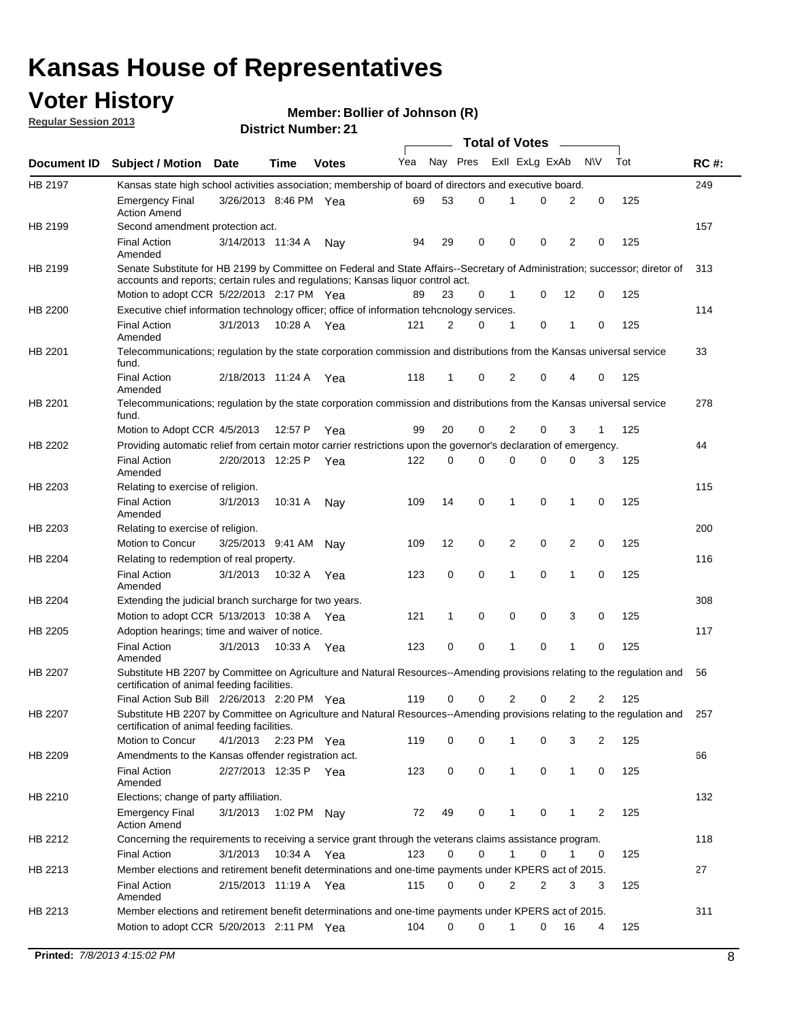## **Voter History**

**Member: Bollier of Johnson (R)** 

**Regular Session 2013**

|             |                                                                                                                                                                             |                       |             |              |     |             |   | <b>Total of Votes</b> |   |                |              |     |             |
|-------------|-----------------------------------------------------------------------------------------------------------------------------------------------------------------------------|-----------------------|-------------|--------------|-----|-------------|---|-----------------------|---|----------------|--------------|-----|-------------|
| Document ID | <b>Subject / Motion Date</b>                                                                                                                                                |                       | Time        | <b>Votes</b> | Yea | Nay Pres    |   | Exll ExLg ExAb        |   |                | <b>NV</b>    | Tot | <b>RC#:</b> |
| HB 2197     | Kansas state high school activities association; membership of board of directors and executive board.                                                                      |                       |             |              |     |             |   |                       |   |                |              |     | 249         |
|             | <b>Emergency Final</b><br><b>Action Amend</b>                                                                                                                               | 3/26/2013 8:46 PM Yea |             |              | 69  | 53          | 0 |                       | 0 | 2              | 0            | 125 |             |
| HB 2199     | Second amendment protection act.                                                                                                                                            |                       |             |              |     |             |   |                       |   |                |              |     | 157         |
|             | <b>Final Action</b><br>Amended                                                                                                                                              | 3/14/2013 11:34 A     |             | Nav          | 94  | 29          | 0 | 0                     | 0 | 2              | 0            | 125 |             |
| HB 2199     | Senate Substitute for HB 2199 by Committee on Federal and State Affairs--Secretary of Administration; successor; diretor of                                                 |                       |             |              |     |             |   |                       |   |                |              |     | 313         |
|             | accounts and reports; certain rules and regulations; Kansas liguor control act.                                                                                             |                       |             |              |     |             |   |                       |   |                |              |     |             |
|             | Motion to adopt CCR 5/22/2013 2:17 PM Yea                                                                                                                                   |                       |             |              | 89  | 23          | 0 | 1                     | 0 | 12             | 0            | 125 |             |
| HB 2200     | Executive chief information technology officer; office of information tehcnology services.                                                                                  |                       |             |              |     |             |   |                       |   |                |              |     | 114         |
|             | <b>Final Action</b><br>Amended                                                                                                                                              | 3/1/2013              | 10:28 A     | Yea          | 121 | 2           | 0 | 1                     | 0 | 1              | 0            | 125 |             |
| HB 2201     | Telecommunications; regulation by the state corporation commission and distributions from the Kansas universal service<br>fund.                                             |                       |             |              |     |             |   |                       |   |                |              |     | 33          |
|             | <b>Final Action</b><br>Amended                                                                                                                                              | 2/18/2013 11:24 A     |             | Yea          | 118 | 1           | 0 | 2                     | 0 | 4              | 0            | 125 |             |
| HB 2201     | Telecommunications; regulation by the state corporation commission and distributions from the Kansas universal service<br>fund.                                             |                       |             |              |     |             |   |                       |   |                |              |     | 278         |
|             | Motion to Adopt CCR 4/5/2013                                                                                                                                                |                       | 12:57 P     | Yea          | 99  | 20          | 0 | 2                     | 0 | 3              | $\mathbf{1}$ | 125 |             |
| HB 2202     | Providing automatic relief from certain motor carrier restrictions upon the governor's declaration of emergency.                                                            |                       |             |              |     |             |   |                       |   |                |              |     | 44          |
|             | <b>Final Action</b><br>Amended                                                                                                                                              | 2/20/2013 12:25 P     |             | Yea          | 122 | 0           | 0 | 0                     | 0 | 0              | 3            | 125 |             |
| HB 2203     | Relating to exercise of religion.                                                                                                                                           |                       |             |              |     |             |   |                       |   |                |              |     | 115         |
|             | <b>Final Action</b><br>Amended                                                                                                                                              | 3/1/2013              | 10:31 A     | Nav          | 109 | 14          | 0 | 1                     | 0 | 1              | 0            | 125 |             |
| HB 2203     | Relating to exercise of religion.                                                                                                                                           |                       |             |              |     |             |   |                       |   |                |              |     | 200         |
|             | Motion to Concur                                                                                                                                                            | 3/25/2013 9:41 AM     |             | Nav          | 109 | 12          | 0 | 2                     | 0 | 2              | 0            | 125 |             |
| HB 2204     | Relating to redemption of real property.                                                                                                                                    |                       |             |              |     |             |   |                       |   |                |              |     | 116         |
|             | <b>Final Action</b><br>Amended                                                                                                                                              | 3/1/2013              | 10:32 A     | Yea          | 123 | $\mathbf 0$ | 0 | 1                     | 0 | $\mathbf{1}$   | 0            | 125 |             |
| HB 2204     | Extending the judicial branch surcharge for two years.                                                                                                                      |                       |             |              |     |             |   |                       |   |                |              |     | 308         |
|             | Motion to adopt CCR 5/13/2013 10:38 A Yea                                                                                                                                   |                       |             |              | 121 | 1           | 0 | 0                     | 0 | 3              | 0            | 125 |             |
| HB 2205     | Adoption hearings; time and waiver of notice.                                                                                                                               |                       |             |              |     |             |   |                       |   |                |              |     | 117         |
|             | <b>Final Action</b><br>Amended                                                                                                                                              | 3/1/2013              | 10:33 A     | Yea          | 123 | 0           | 0 | 1                     | 0 | 1              | 0            | 125 |             |
| HB 2207     | Substitute HB 2207 by Committee on Agriculture and Natural Resources--Amending provisions relating to the regulation and<br>certification of animal feeding facilities.     |                       |             |              |     |             |   |                       |   |                |              |     | 56          |
|             | Final Action Sub Bill 2/26/2013 2:20 PM Yea                                                                                                                                 |                       |             |              | 119 | 0           | 0 | 2                     | 0 | $\overline{2}$ | 2            | 125 |             |
| HB 2207     | Substitute HB 2207 by Committee on Agriculture and Natural Resources--Amending provisions relating to the regulation and 257<br>certification of animal feeding facilities. |                       |             |              |     |             |   |                       |   |                |              |     |             |
|             | Motion to Concur                                                                                                                                                            | 4/1/2013              | 2:23 PM Yea |              | 119 | 0           | 0 | 1                     | 0 | 3              | 2            | 125 |             |
| HB 2209     | Amendments to the Kansas offender registration act.                                                                                                                         |                       |             |              |     |             |   |                       |   |                |              |     | 66          |
|             | <b>Final Action</b><br>Amended                                                                                                                                              | 2/27/2013 12:35 P Yea |             |              | 123 | 0           | 0 | $\mathbf{1}$          | 0 | $\mathbf{1}$   | 0            | 125 |             |
| HB 2210     | Elections; change of party affiliation.                                                                                                                                     |                       |             |              |     |             |   |                       |   |                |              |     | 132         |
|             | <b>Emergency Final</b><br><b>Action Amend</b>                                                                                                                               | 3/1/2013              | 1:02 PM Nay |              | 72  | 49          | 0 |                       | 0 | 1              | 2            | 125 |             |
| HB 2212     | Concerning the requirements to receiving a service grant through the veterans claims assistance program.                                                                    |                       |             |              |     |             |   |                       |   |                |              |     | 118         |
|             | <b>Final Action</b>                                                                                                                                                         | 3/1/2013              | 10:34 A Yea |              | 123 | 0           | 0 | $\mathbf{1}$          | 0 | 1              | 0            | 125 |             |
| HB 2213     | Member elections and retirement benefit determinations and one-time payments under KPERS act of 2015.                                                                       |                       |             |              |     |             |   |                       |   |                |              |     | 27          |
|             | <b>Final Action</b><br>Amended                                                                                                                                              | 2/15/2013 11:19 A Yea |             |              | 115 | 0           | 0 | 2                     | 2 | 3              | 3            | 125 |             |
| HB 2213     | Member elections and retirement benefit determinations and one-time payments under KPERS act of 2015.                                                                       |                       |             |              |     |             |   |                       |   |                |              |     | 311         |
|             | Motion to adopt CCR 5/20/2013 2:11 PM Yea                                                                                                                                   |                       |             |              | 104 | $\Omega$    | 0 | 1                     | 0 | 16             | 4            | 125 |             |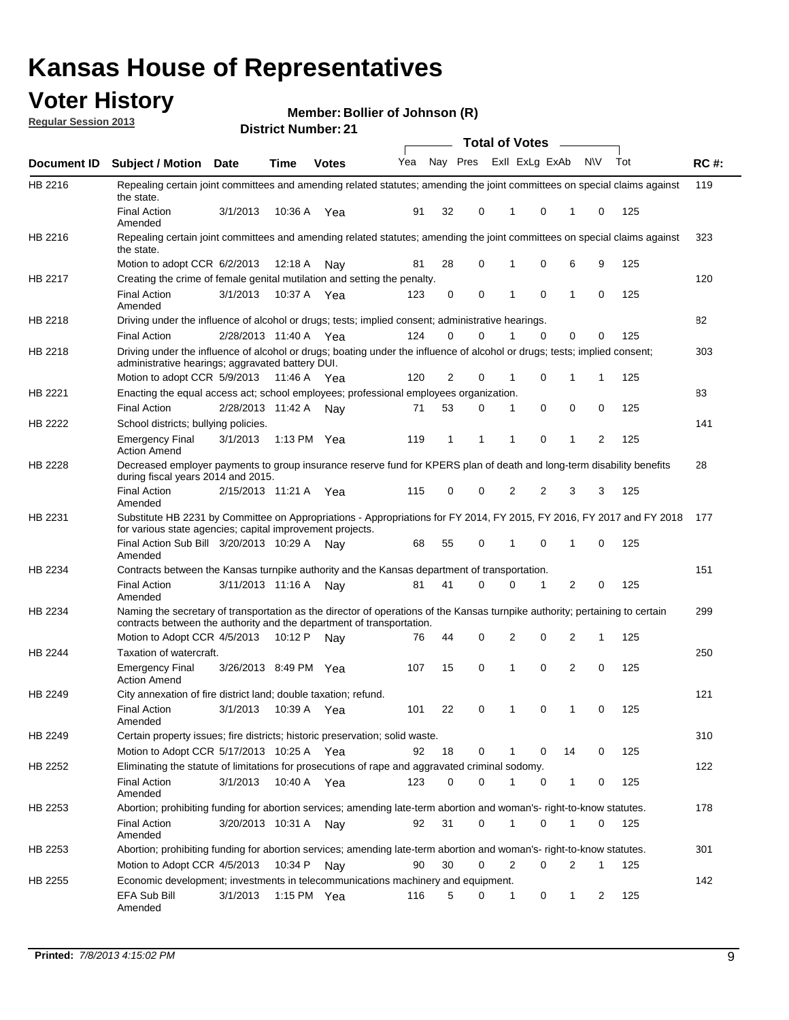### **Voter History**

**Member: Bollier of Johnson (R)** 

**Regular Session 2013**

HB 2216

HB 2216

HB 2217

HB 2218

HB 2218

HB 2221

**HB 2222** 

#### **Document ID Subject / Motion Date Time Votes** Yea Nay Pres ExII ExLg ExAb N\V Tot **RC #: District Number: 21 Date Votes Total of Votes Time** 3/1/2013 Final Action Yea 125 10:36 A 91 32 0 0 10 1 Amended Repealing certain joint committees and amending related statutes; amending the joint committees on special claims against the state. 6/2/2013 Motion to adopt CCR Nay 125 12:18 A 81 28 0 0 69 1 Repealing certain joint committees and amending related statutes; amending the joint committees on special claims against the state. Final Action 3/1/2013 10:37 A Yea 123 0 0 1 0 1 0 125 Amended Creating the crime of female genital mutilation and setting the penalty. 2/28/2013 Final Action Yea 125 11:40 A 124 0 0 0 00 1 Driving under the influence of alcohol or drugs; tests; implied consent; administrative hearings. Motion to adopt CCR 5/9/2013 11:46 A 1 Yea  $120$  2 0 1 0 1 1 125 Driving under the influence of alcohol or drugs; boating under the influence of alcohol or drugs; tests; implied consent; administrative hearings; aggravated battery DUI. Final Action 2/28/2013 11:42 A Nay 71 53 0 1 0 0 0 125 Enacting the equal access act; school employees; professional employees organization. 3/1/2013 Emergency Final Yea 125 1:13 PM 119 1 0 1 12 1 School districts; bullying policies.

Action Amend 28 2/15/2013 Final Action Yea 125 11:21 A 115 0 2 0 33 2 HB 2228 Amended Decreased employer payments to group insurance reserve fund for KPERS plan of death and long-term disability benefits during fiscal years 2014 and 2015. 177 Final Action Sub Bill 3/20/2013 10:29 A Nay 68 55 0 1 0 1 0 125 HB 2231 Amended Substitute HB 2231 by Committee on Appropriations - Appropriations for FY 2014, FY 2015, FY 2016, FY 2017 and FY 2018 for various state agencies; capital improvement projects. 151 Final Action 3/11/2013 11:16 A Nay 81 41 0 0 1 2 0 125 HB 2234 Amended Contracts between the Kansas turnpike authority and the Kansas department of transportation. 299 Motion to Adopt CCR 4/5/2013 10:12 P Nay 76 44 0 2 0 2 1 125 HB 2234 Naming the secretary of transportation as the director of operations of the Kansas turnpike authority; pertaining to certain contracts between the authority and the department of transportation. 250 3/26/2013 Emergency Final Yea 125 8:49 PM 107 15 0 0 20 1 HB 2244 Action Amend Taxation of watercraft. 121 3/1/2013 Final Action Yea 125 10:39 A 101 22 0 0 10 1 HB 2249 Amended City annexation of fire district land; double taxation; refund. 310 HB 2249 Certain property issues; fire districts; historic preservation; solid waste.

Motion to Adopt CCR 5/17/2013 10:25 A Yea 92 18 0 1 0 14 0 125 122 3/1/2013 Final Action Yea 125 10:40 A 123 0 0 0 10 1 HB 2252 Amended Eliminating the statute of limitations for prosecutions of rape and aggravated criminal sodomy. 178 Final Action 3/20/2013 10:31 A Nay 92 31 0 1 0 1 0 125 HB 2253 Amended Abortion; prohibiting funding for abortion services; amending late-term abortion and woman's- right-to-know statutes. 301 Motion to Adopt CCR 4/5/2013 10:34 P Nay 90 30 0 2 0 2 1 125 HB 2253 Abortion; prohibiting funding for abortion services; amending late-term abortion and woman's- right-to-know statutes. 142 3/1/2013 EFA Sub Bill Yea 125 1:15 PM 116 5 0 0 12 1 HB 2255 Amended Economic development; investments in telecommunications machinery and equipment.

119

323

120

82

303

83

141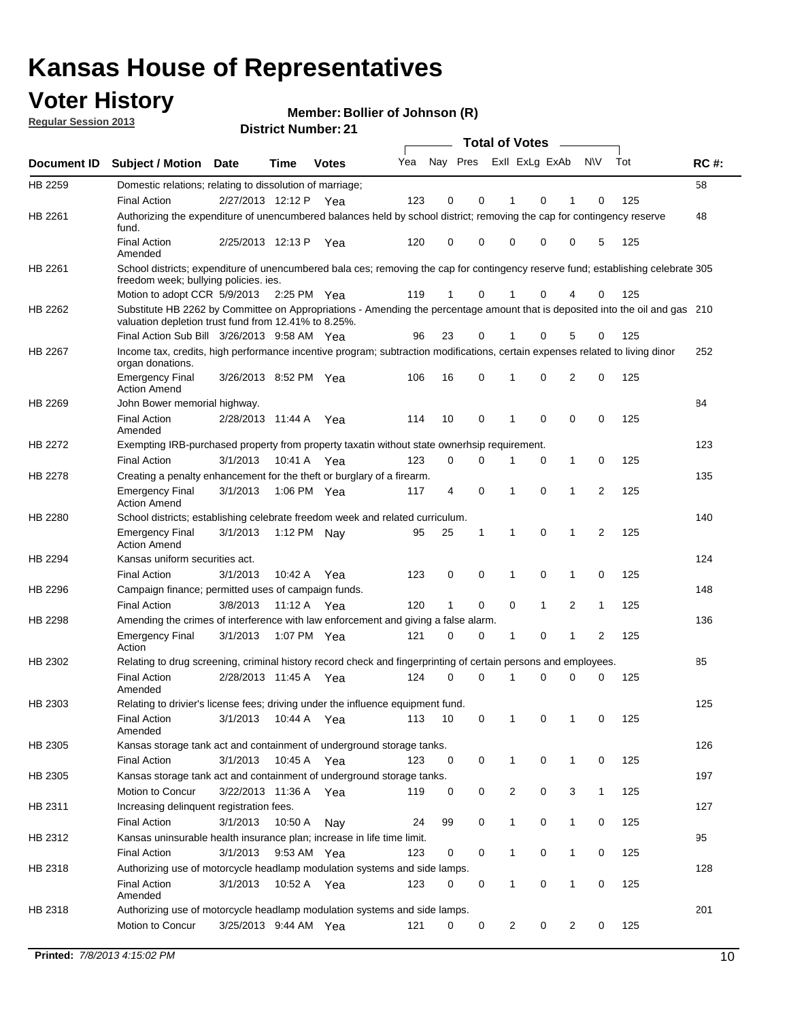## **Voter History**

**Member: Bollier of Johnson (R)** 

**Regular Session 2013**

|                    |                                                                                                                                                                                       |                       | PIJUIUL INUIIIN <del>G</del> I . 4 I |              |     |                         |             | <b>Total of Votes</b> |              | $\sim$         |              |     |             |
|--------------------|---------------------------------------------------------------------------------------------------------------------------------------------------------------------------------------|-----------------------|--------------------------------------|--------------|-----|-------------------------|-------------|-----------------------|--------------|----------------|--------------|-----|-------------|
| <b>Document ID</b> | <b>Subject / Motion</b>                                                                                                                                                               | Date                  | Time                                 | <b>Votes</b> | Yea | Nay Pres Exll ExLg ExAb |             |                       |              |                | N\V          | Tot | <b>RC#:</b> |
| HB 2259            | Domestic relations; relating to dissolution of marriage;                                                                                                                              |                       |                                      |              |     |                         |             |                       |              |                |              |     | 58          |
|                    | <b>Final Action</b>                                                                                                                                                                   | 2/27/2013 12:12 P     |                                      | Yea          | 123 | 0                       | 0           | 1                     | 0            | 1              | $\Omega$     | 125 |             |
| HB 2261            | Authorizing the expenditure of unencumbered balances held by school district; removing the cap for contingency reserve<br>fund.                                                       |                       |                                      |              |     |                         |             |                       |              |                |              |     | 48          |
|                    | <b>Final Action</b><br>Amended                                                                                                                                                        | 2/25/2013 12:13 P     |                                      | Yea          | 120 | 0                       | 0           | 0                     | 0            | 0              | 5            | 125 |             |
| HB 2261            | School districts; expenditure of unencumbered bala ces; removing the cap for contingency reserve fund; establishing celebrate 305<br>freedom week; bullying policies. ies.            |                       |                                      |              |     |                         |             |                       |              |                |              |     |             |
|                    | Motion to adopt CCR 5/9/2013                                                                                                                                                          |                       | 2:25 PM Yea                          |              | 119 | 1                       | 0           |                       | 0            | 4              | 0            | 125 |             |
| HB 2262            | Substitute HB 2262 by Committee on Appropriations - Amending the percentage amount that is deposited into the oil and gas 210<br>valuation depletion trust fund from 12.41% to 8.25%. |                       |                                      |              |     |                         |             |                       |              |                |              |     |             |
|                    | Final Action Sub Bill 3/26/2013 9:58 AM Yea                                                                                                                                           |                       |                                      |              | 96  | 23                      | 0           |                       | 0            | 5              | 0            | 125 |             |
| HB 2267            | Income tax, credits, high performance incentive program; subtraction modifications, certain expenses related to living dinor<br>organ donations.                                      |                       |                                      |              |     |                         |             |                       |              |                |              |     | 252         |
|                    | <b>Emergency Final</b><br><b>Action Amend</b>                                                                                                                                         | 3/26/2013 8:52 PM Yea |                                      |              | 106 | 16                      | 0           | 1                     | 0            | $\overline{2}$ | 0            | 125 |             |
| HB 2269            | John Bower memorial highway.                                                                                                                                                          |                       |                                      |              |     |                         |             |                       |              |                |              |     | 84          |
|                    | <b>Final Action</b><br>Amended                                                                                                                                                        | 2/28/2013 11:44 A Yea |                                      |              | 114 | 10                      | 0           | 1                     | 0            | 0              | 0            | 125 |             |
| HB 2272            | Exempting IRB-purchased property from property taxatin without state ownerhsip requirement.                                                                                           |                       |                                      |              |     |                         |             |                       |              |                |              |     | 123         |
|                    | <b>Final Action</b>                                                                                                                                                                   | 3/1/2013              | 10:41 A Yea                          |              | 123 | 0                       | 0           | 1                     | 0            | $\mathbf{1}$   | 0            | 125 |             |
| HB 2278            | Creating a penalty enhancement for the theft or burglary of a firearm.                                                                                                                |                       |                                      |              |     |                         |             |                       |              |                |              |     | 135         |
|                    | <b>Emergency Final</b><br><b>Action Amend</b>                                                                                                                                         | 3/1/2013              | 1:06 PM Yea                          |              | 117 | 4                       | $\mathbf 0$ | $\mathbf 1$           | $\Omega$     | 1              | 2            | 125 |             |
| HB 2280            | School districts; establishing celebrate freedom week and related curriculum.                                                                                                         |                       |                                      |              |     |                         |             |                       |              |                |              |     | 140         |
|                    | <b>Emergency Final</b><br><b>Action Amend</b>                                                                                                                                         | 3/1/2013              | 1:12 PM Nav                          |              | 95  | 25                      | 1           | 1                     | 0            | 1              | 2            | 125 |             |
| HB 2294            | Kansas uniform securities act.                                                                                                                                                        |                       |                                      |              |     |                         |             |                       |              |                |              |     | 124         |
|                    | <b>Final Action</b>                                                                                                                                                                   | 3/1/2013              | 10:42 A Yea                          |              | 123 | 0                       | 0           | 1                     | $\mathbf 0$  | $\mathbf{1}$   | 0            | 125 |             |
| HB 2296            | Campaign finance; permitted uses of campaign funds.                                                                                                                                   |                       |                                      |              |     |                         |             |                       |              |                |              |     | 148         |
|                    | <b>Final Action</b>                                                                                                                                                                   | 3/8/2013              | 11:12 A Yea                          |              | 120 | $\mathbf{1}$            | 0           | 0                     | $\mathbf{1}$ | $\overline{2}$ | $\mathbf{1}$ | 125 |             |
| HB 2298            | Amending the crimes of interference with law enforcement and giving a false alarm.                                                                                                    |                       |                                      |              |     |                         |             |                       |              |                |              |     | 136         |
|                    | <b>Emergency Final</b><br>Action                                                                                                                                                      | 3/1/2013              | 1:07 PM Yea                          |              | 121 | 0                       | 0           | 1                     | 0            | $\mathbf{1}$   | 2            | 125 |             |
| HB 2302            | Relating to drug screening, criminal history record check and fingerprinting of certain persons and employees.                                                                        |                       |                                      |              |     |                         |             |                       |              |                |              |     | 85          |
|                    | <b>Final Action</b><br>Amended                                                                                                                                                        | 2/28/2013 11:45 A Yea |                                      |              | 124 | 0                       | $\Omega$    | 1                     | 0            | 0              | $\mathbf 0$  | 125 |             |
| HB 2303            | Relating to drivier's license fees; driving under the influence equipment fund.                                                                                                       |                       |                                      |              |     |                         |             |                       |              |                |              |     | 125         |
|                    | <b>Final Action</b><br>Amended                                                                                                                                                        | 3/1/2013              | 10:44 A                              | Yea          | 113 | 10                      | 0           | 1                     | 0            | 1              | 0            | 125 |             |
| HB 2305            | Kansas storage tank act and containment of underground storage tanks.                                                                                                                 |                       |                                      |              |     |                         |             |                       |              |                |              |     | 126         |
|                    | <b>Final Action</b>                                                                                                                                                                   | 3/1/2013              | 10:45 A                              | Yea          | 123 | 0                       | 0           | 1                     | 0            | $\mathbf{1}$   | 0            | 125 |             |
| HB 2305            | Kansas storage tank act and containment of underground storage tanks.                                                                                                                 |                       |                                      |              |     |                         |             |                       |              |                |              |     | 197         |
|                    | Motion to Concur                                                                                                                                                                      | 3/22/2013 11:36 A     |                                      | Yea          | 119 | 0                       | 0           | 2                     | 0            | 3              | $\mathbf{1}$ | 125 |             |
| HB 2311            | Increasing delinquent registration fees.                                                                                                                                              |                       |                                      |              |     |                         |             |                       |              |                |              |     | 127         |
|                    | <b>Final Action</b>                                                                                                                                                                   | 3/1/2013              | 10:50 A                              | Nay          | 24  | 99                      | 0           | $\mathbf{1}$          | 0            | $\mathbf{1}$   | 0            | 125 |             |
| HB 2312            | Kansas uninsurable health insurance plan; increase in life time limit.                                                                                                                |                       |                                      |              |     |                         |             |                       |              |                |              |     | 95          |
|                    | <b>Final Action</b>                                                                                                                                                                   | 3/1/2013              | 9:53 AM Yea                          |              | 123 | 0                       | 0           | 1                     | 0            | 1              | 0            | 125 |             |
| HB 2318            | Authorizing use of motorcycle headlamp modulation systems and side lamps.                                                                                                             |                       |                                      |              |     |                         |             |                       |              |                |              |     | 128         |
|                    | <b>Final Action</b><br>Amended                                                                                                                                                        | 3/1/2013              | 10:52 A Yea                          |              | 123 | 0                       | 0           | 1                     | 0            | 1              | 0            | 125 |             |
| HB 2318            | Authorizing use of motorcycle headlamp modulation systems and side lamps.                                                                                                             |                       |                                      |              |     |                         |             |                       |              |                |              |     | 201         |
|                    | Motion to Concur                                                                                                                                                                      | 3/25/2013 9:44 AM Yea |                                      |              | 121 | 0                       | 0           | $\overline{2}$        | 0            | $\overline{2}$ | 0            | 125 |             |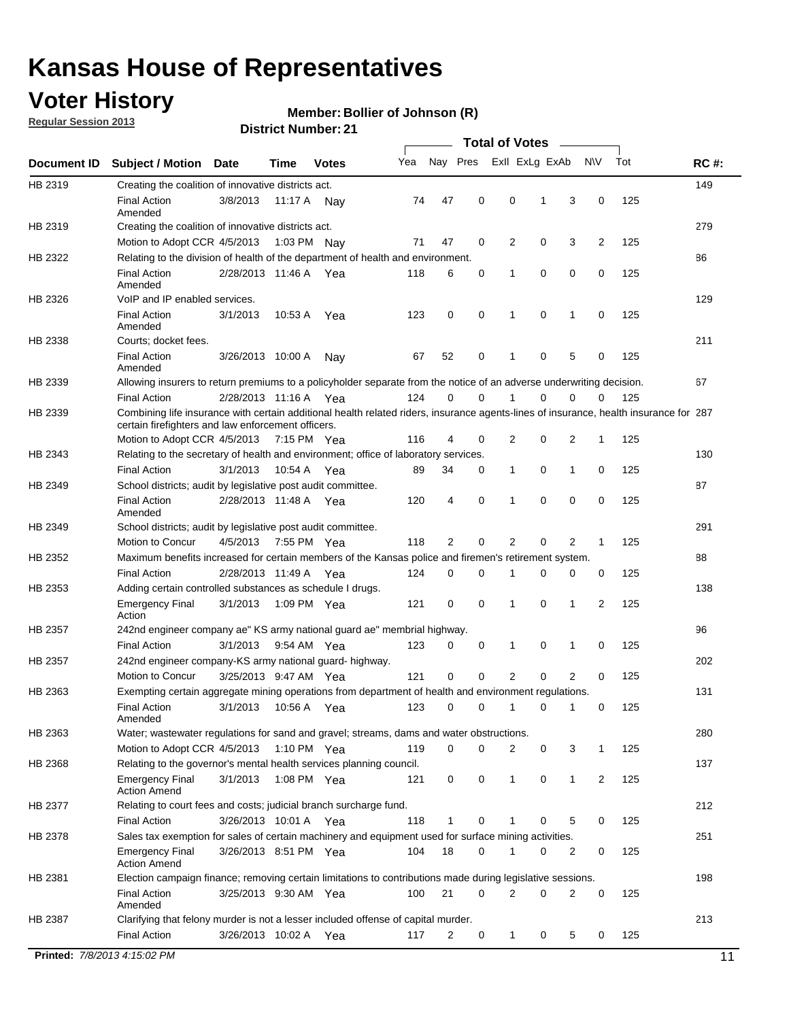## **Voter History**

**Member: Bollier of Johnson (R)** 

**Regular Session 2013**

|             |                                                                                                                                       |                       |         |              |     |                |             | <b>Total of Votes</b> |   |                |                |     |             |
|-------------|---------------------------------------------------------------------------------------------------------------------------------------|-----------------------|---------|--------------|-----|----------------|-------------|-----------------------|---|----------------|----------------|-----|-------------|
| Document ID | <b>Subject / Motion</b>                                                                                                               | <b>Date</b>           | Time    | <b>Votes</b> | Yea | Nay Pres       |             | Exll ExLg ExAb        |   |                | <b>NV</b>      | Tot | <b>RC#:</b> |
| HB 2319     | Creating the coalition of innovative districts act.                                                                                   |                       |         |              |     |                |             |                       |   |                |                |     | 149         |
|             | <b>Final Action</b>                                                                                                                   | 3/8/2013              | 11:17 A | Nav          | 74  | 47             | 0           | 0                     | 1 | 3              | 0              | 125 |             |
|             | Amended                                                                                                                               |                       |         |              |     |                |             |                       |   |                |                |     |             |
| HB 2319     | Creating the coalition of innovative districts act.                                                                                   |                       |         |              |     |                |             |                       |   |                |                |     | 279         |
|             | Motion to Adopt CCR 4/5/2013                                                                                                          |                       |         | 1:03 PM Nay  | 71  | 47             | 0           | 2                     | 0 | 3              | $\overline{2}$ | 125 |             |
| HB 2322     | Relating to the division of health of the department of health and environment.                                                       |                       |         |              |     |                |             |                       |   |                |                |     | 86          |
|             | <b>Final Action</b><br>Amended                                                                                                        | 2/28/2013 11:46 A Yea |         |              | 118 | 6              | 0           | 1                     | 0 | 0              | 0              | 125 |             |
| HB 2326     | VoIP and IP enabled services.                                                                                                         |                       |         |              |     |                |             |                       |   |                |                |     | 129         |
|             | <b>Final Action</b>                                                                                                                   | 3/1/2013              | 10:53 A | Yea          | 123 | 0              | $\mathbf 0$ | $\mathbf{1}$          | 0 | 1              | 0              | 125 |             |
|             | Amended                                                                                                                               |                       |         |              |     |                |             |                       |   |                |                |     |             |
| HB 2338     | Courts; docket fees.                                                                                                                  |                       |         |              |     |                |             |                       |   |                |                |     | 211         |
|             | <b>Final Action</b>                                                                                                                   | 3/26/2013 10:00 A     |         | Nav          | 67  | 52             | 0           | 1                     | 0 | 5              | 0              | 125 |             |
|             | Amended                                                                                                                               |                       |         |              |     |                |             |                       |   |                |                |     |             |
| HB 2339     | Allowing insurers to return premiums to a policyholder separate from the notice of an adverse underwriting decision.                  |                       |         |              |     |                |             |                       |   |                |                |     | 67          |
|             | <b>Final Action</b>                                                                                                                   | 2/28/2013 11:16 A Yea |         |              | 124 | 0              | 0           | 1                     | 0 | 0              | 0              | 125 |             |
| HB 2339     | Combining life insurance with certain additional health related riders, insurance agents-lines of insurance, health insurance for 287 |                       |         |              |     |                |             |                       |   |                |                |     |             |
|             | certain firefighters and law enforcement officers.<br>Motion to Adopt CCR 4/5/2013 7:15 PM Yea                                        |                       |         |              | 116 | 4              | 0           | 2                     | 0 | 2              | 1              | 125 |             |
| HB 2343     | Relating to the secretary of health and environment; office of laboratory services.                                                   |                       |         |              |     |                |             |                       |   |                |                |     | 130         |
|             | <b>Final Action</b>                                                                                                                   | 3/1/2013              |         | 10:54 A Yea  | 89  | 34             | 0           | 1                     | 0 | $\mathbf{1}$   | 0              | 125 |             |
| HB 2349     | School districts; audit by legislative post audit committee.                                                                          |                       |         |              |     |                |             |                       |   |                |                |     | 87          |
|             | <b>Final Action</b>                                                                                                                   | 2/28/2013 11:48 A Yea |         |              | 120 | 4              | 0           | 1                     | 0 | 0              | 0              | 125 |             |
|             | Amended                                                                                                                               |                       |         |              |     |                |             |                       |   |                |                |     |             |
| HB 2349     | School districts; audit by legislative post audit committee.                                                                          |                       |         |              |     |                |             |                       |   |                |                |     | 291         |
|             | Motion to Concur                                                                                                                      | 4/5/2013              |         | 7:55 PM Yea  | 118 | $\overline{2}$ | 0           | $\overline{2}$        | 0 | 2              | 1              | 125 |             |
| HB 2352     | Maximum benefits increased for certain members of the Kansas police and firemen's retirement system.                                  |                       |         |              |     |                |             |                       |   |                |                |     | 88          |
|             | <b>Final Action</b>                                                                                                                   | 2/28/2013 11:49 A     |         | Yea          | 124 | 0              | 0           | 1                     | 0 | 0              | 0              | 125 |             |
| HB 2353     | Adding certain controlled substances as schedule I drugs.                                                                             |                       |         |              |     |                |             |                       |   |                |                |     | 138         |
|             | <b>Emergency Final</b>                                                                                                                | 3/1/2013              |         | 1:09 PM Yea  | 121 | 0              | 0           | $\mathbf{1}$          | 0 | 1              | 2              | 125 |             |
|             | Action                                                                                                                                |                       |         |              |     |                |             |                       |   |                |                |     |             |
| HB 2357     | 242nd engineer company ae" KS army national guard ae" membrial highway.                                                               |                       |         |              |     |                |             |                       |   |                |                |     | 96          |
|             | <b>Final Action</b>                                                                                                                   | 3/1/2013              |         | 9:54 AM Yea  | 123 | 0              | 0           | 1                     | 0 | -1             | 0              | 125 |             |
| HB 2357     | 242nd engineer company-KS army national guard- highway.                                                                               |                       |         |              |     |                |             |                       |   |                |                |     | 202         |
|             | Motion to Concur                                                                                                                      | 3/25/2013 9:47 AM Yea |         |              | 121 | $\mathbf 0$    | $\mathbf 0$ | 2                     | 0 | $\overline{2}$ | 0              | 125 |             |
| HB 2363     | Exempting certain aggregate mining operations from department of health and environment regulations.                                  |                       |         |              |     |                |             |                       |   |                |                |     | 131         |
|             | <b>Final Action</b><br>Amended                                                                                                        | 3/1/2013              |         | 10:56 A Yea  | 123 | 0              | 0           | 1                     | 0 | 1              | 0              | 125 |             |
| HB 2363     | Water; wastewater regulations for sand and gravel; streams, dams and water obstructions.                                              |                       |         |              |     |                |             |                       |   |                |                |     | 280         |
|             | Motion to Adopt CCR 4/5/2013                                                                                                          |                       |         | 1:10 PM Yea  | 119 | 0              | 0           | 2                     | 0 | 3              |                | 125 |             |
| HB 2368     | Relating to the governor's mental health services planning council.                                                                   |                       |         |              |     |                |             |                       |   |                |                |     | 137         |
|             | Emergency Final<br>Action Amend                                                                                                       | 3/1/2013              |         | 1:08 PM Yea  | 121 | 0              | 0           | 1                     | 0 | $\mathbf{1}$   | $\overline{2}$ | 125 |             |
| HB 2377     | Relating to court fees and costs; judicial branch surcharge fund.                                                                     |                       |         |              |     |                |             |                       |   |                |                |     | 212         |
|             | <b>Final Action</b>                                                                                                                   | 3/26/2013 10:01 A Yea |         |              | 118 | 1              | 0           |                       | 0 | 5              | 0              | 125 |             |
| HB 2378     | Sales tax exemption for sales of certain machinery and equipment used for surface mining activities.                                  |                       |         |              |     |                |             |                       |   |                |                |     | 251         |
|             | Emergency Final<br><b>Action Amend</b>                                                                                                | 3/26/2013 8:51 PM Yea |         |              | 104 | 18             | 0           | 1                     | 0 | 2              | 0              | 125 |             |
| HB 2381     | Election campaign finance; removing certain limitations to contributions made during legislative sessions.                            |                       |         |              |     |                |             |                       |   |                |                |     | 198         |
|             | <b>Final Action</b>                                                                                                                   | 3/25/2013 9:30 AM Yea |         |              | 100 | 21             | 0           | 2                     | 0 | 2              | 0              | 125 |             |
|             | Amended                                                                                                                               |                       |         |              |     |                |             |                       |   |                |                |     |             |
| HB 2387     | Clarifying that felony murder is not a lesser included offense of capital murder.                                                     |                       |         |              |     |                |             |                       |   |                |                |     | 213         |
|             | <b>Final Action</b>                                                                                                                   | 3/26/2013 10:02 A     |         | Yea          | 117 | 2              | 0           | 1                     | 0 | 5              | 0              | 125 |             |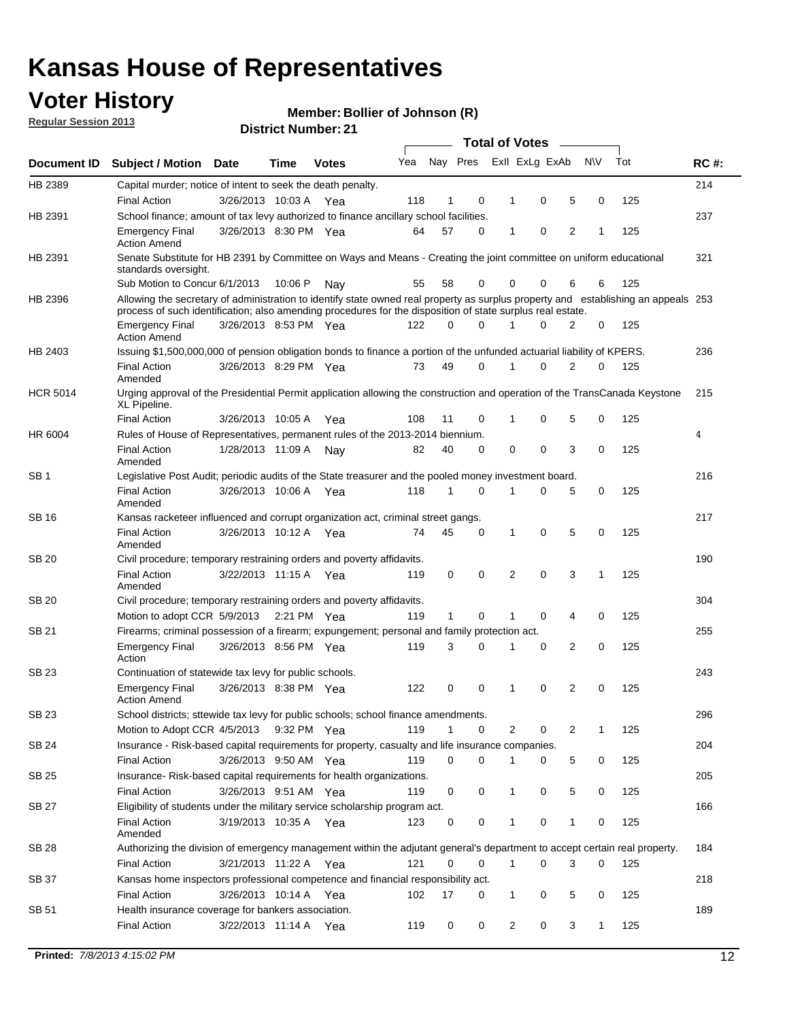## **Voter History**

**Member: Bollier of Johnson (R)** 

**Regular Session 2013**

|                 |                                                                                                                                                                                                                                                  |                       |         | PIJU IVI I VUI IIVU . 4 I |     |              |             |              | <b>Total of Votes</b> | $\overline{\phantom{a}}$ |           |     |             |
|-----------------|--------------------------------------------------------------------------------------------------------------------------------------------------------------------------------------------------------------------------------------------------|-----------------------|---------|---------------------------|-----|--------------|-------------|--------------|-----------------------|--------------------------|-----------|-----|-------------|
| Document ID     | <b>Subject / Motion Date</b>                                                                                                                                                                                                                     |                       | Time    | <b>Votes</b>              | Yea |              | Nay Pres    |              | Exll ExLg ExAb        |                          | <b>NV</b> | Tot | <b>RC#:</b> |
| HB 2389         | Capital murder; notice of intent to seek the death penalty.                                                                                                                                                                                      |                       |         |                           |     |              |             |              |                       |                          |           |     | 214         |
|                 | <b>Final Action</b>                                                                                                                                                                                                                              | 3/26/2013 10:03 A Yea |         |                           | 118 | 1            | 0           | 1            | 0                     | 5                        | 0         | 125 |             |
| HB 2391         | School finance; amount of tax levy authorized to finance ancillary school facilities.                                                                                                                                                            |                       |         |                           |     |              |             |              |                       |                          |           |     | 237         |
|                 | <b>Emergency Final</b><br><b>Action Amend</b>                                                                                                                                                                                                    | 3/26/2013 8:30 PM Yea |         |                           | 64  | 57           | $\Omega$    | 1            | 0                     | $\overline{2}$           | 1         | 125 |             |
| HB 2391         | Senate Substitute for HB 2391 by Committee on Ways and Means - Creating the joint committee on uniform educational<br>standards oversight.                                                                                                       |                       |         |                           |     |              |             |              |                       |                          |           |     | 321         |
|                 | Sub Motion to Concur 6/1/2013                                                                                                                                                                                                                    |                       | 10:06 P | Nav                       | 55  | 58           | 0           |              | 0<br>0                | 6                        | 6         | 125 |             |
| HB 2396         | Allowing the secretary of administration to identify state owned real property as surplus property and establishing an appeals 253<br>process of such identification; also amending procedures for the disposition of state surplus real estate. |                       |         |                           |     |              |             |              |                       |                          |           |     |             |
|                 | <b>Emergency Final</b><br><b>Action Amend</b>                                                                                                                                                                                                    | 3/26/2013 8:53 PM Yea |         |                           | 122 | 0            | $\Omega$    |              | $\Omega$              | 2                        | 0         | 125 |             |
| HB 2403         | Issuing \$1,500,000,000 of pension obligation bonds to finance a portion of the unfunded actuarial liability of KPERS.                                                                                                                           |                       |         |                           |     |              |             |              |                       |                          |           |     | 236         |
|                 | <b>Final Action</b><br>Amended                                                                                                                                                                                                                   | 3/26/2013 8:29 PM Yea |         |                           | 73  | 49           | 0           | 1            | 0                     | $\overline{2}$           | 0         | 125 |             |
| <b>HCR 5014</b> | Urging approval of the Presidential Permit application allowing the construction and operation of the TransCanada Keystone<br>XL Pipeline.                                                                                                       |                       |         |                           |     |              |             |              |                       |                          |           |     | 215         |
|                 | <b>Final Action</b>                                                                                                                                                                                                                              | 3/26/2013 10:05 A     |         | Yea                       | 108 | 11           | 0           | 1            | 0                     | 5                        | 0         | 125 |             |
| HR 6004         | Rules of House of Representatives, permanent rules of the 2013-2014 biennium.                                                                                                                                                                    |                       |         |                           |     |              |             |              |                       |                          |           |     | 4           |
|                 | <b>Final Action</b><br>Amended                                                                                                                                                                                                                   | 1/28/2013 11:09 A     |         | Nay                       | 82  | 40           | $\Omega$    | 0            | 0                     | 3                        | 0         | 125 |             |
| SB <sub>1</sub> | Legislative Post Audit; periodic audits of the State treasurer and the pooled money investment board.                                                                                                                                            |                       |         |                           |     |              |             |              |                       |                          |           |     | 216         |
|                 | <b>Final Action</b><br>Amended                                                                                                                                                                                                                   | 3/26/2013 10:06 A     |         | Yea                       | 118 | 1            | $\Omega$    | 1            | 0                     | 5                        | 0         | 125 |             |
| SB 16           | Kansas racketeer influenced and corrupt organization act, criminal street gangs.                                                                                                                                                                 |                       |         |                           |     |              |             |              |                       |                          |           |     | 217         |
|                 | <b>Final Action</b><br>Amended                                                                                                                                                                                                                   | 3/26/2013 10:12 A Yea |         |                           | 74  | 45           | 0           | 1            | 0                     | 5                        | 0         | 125 |             |
| <b>SB 20</b>    | Civil procedure; temporary restraining orders and poverty affidavits.                                                                                                                                                                            |                       |         |                           |     |              |             |              |                       |                          |           |     | 190         |
|                 | <b>Final Action</b><br>Amended                                                                                                                                                                                                                   | 3/22/2013 11:15 A     |         | Yea                       | 119 | 0            | 0           | 2            | $\Omega$              | 3                        | 1         | 125 |             |
| SB 20           | Civil procedure; temporary restraining orders and poverty affidavits.                                                                                                                                                                            |                       |         |                           |     |              |             |              |                       |                          |           |     | 304         |
|                 | Motion to adopt CCR 5/9/2013                                                                                                                                                                                                                     |                       |         | 2:21 PM Yea               | 119 | $\mathbf{1}$ | 0           | 1            | 0                     | 4                        | 0         | 125 |             |
| SB 21           | Firearms; criminal possession of a firearm; expungement; personal and family protection act.                                                                                                                                                     |                       |         |                           |     |              |             |              |                       |                          |           |     | 255         |
|                 | <b>Emergency Final</b><br>Action                                                                                                                                                                                                                 | 3/26/2013 8:56 PM Yea |         |                           | 119 | 3            | $\Omega$    | 1            | 0                     | 2                        | 0         | 125 |             |
| <b>SB 23</b>    | Continuation of statewide tax levy for public schools.                                                                                                                                                                                           |                       |         |                           |     |              |             |              |                       |                          |           |     | 243         |
|                 | <b>Emergency Final</b><br><b>Action Amend</b>                                                                                                                                                                                                    | 3/26/2013 8:38 PM Yea |         |                           | 122 | 0            | 0           | 1            | 0                     | 2                        | 0         | 125 |             |
| SB 23           | School districts; sttewide tax levy for public schools; school finance amendments.                                                                                                                                                               |                       |         |                           |     |              |             |              |                       |                          |           |     | 296         |
|                 | Motion to Adopt CCR 4/5/2013                                                                                                                                                                                                                     |                       |         | 9:32 PM Yea               | 119 | 1            | 0           |              | 2<br>0                | 2                        | 1         | 125 |             |
| <b>SB 24</b>    | Insurance - Risk-based capital requirements for property, casualty and life insurance companies.                                                                                                                                                 |                       |         |                           |     |              |             |              |                       |                          |           |     | 204         |
|                 | Final Action                                                                                                                                                                                                                                     | 3/26/2013 9:50 AM Yea |         |                           | 119 | 0            | 0           | 1            | 0                     | 5                        | 0         | 125 |             |
| <b>SB 25</b>    | Insurance-Risk-based capital requirements for health organizations.                                                                                                                                                                              |                       |         |                           |     |              |             |              |                       |                          |           |     | 205         |
|                 | Final Action                                                                                                                                                                                                                                     | 3/26/2013 9:51 AM Yea |         |                           | 119 | 0            | 0           | 1            | 0                     | 5                        | 0         | 125 |             |
| <b>SB 27</b>    | Eligibility of students under the military service scholarship program act.                                                                                                                                                                      |                       |         |                           |     |              |             |              |                       |                          |           |     | 166         |
|                 | <b>Final Action</b><br>Amended                                                                                                                                                                                                                   | 3/19/2013 10:35 A Yea |         |                           | 123 | 0            | 0           |              | 0                     | 1                        | 0         | 125 |             |
| SB 28           | Authorizing the division of emergency management within the adjutant general's department to accept certain real property.                                                                                                                       |                       |         |                           |     |              |             |              |                       |                          |           |     | 184         |
|                 | <b>Final Action</b>                                                                                                                                                                                                                              | 3/21/2013 11:22 A Yea |         |                           | 121 | 0            | $\mathbf 0$ | $\mathbf{1}$ | 0                     | 3                        | 0         | 125 |             |
| SB 37           | Kansas home inspectors professional competence and financial responsibility act.                                                                                                                                                                 |                       |         |                           |     |              |             |              |                       |                          |           |     | 218         |
|                 | <b>Final Action</b>                                                                                                                                                                                                                              | 3/26/2013 10:14 A Yea |         |                           | 102 | 17           | 0           |              | 1<br>0                | 5                        | 0         | 125 |             |
| SB 51           | Health insurance coverage for bankers association.                                                                                                                                                                                               |                       |         |                           |     |              |             |              |                       |                          |           |     | 189         |
|                 | Final Action                                                                                                                                                                                                                                     | 3/22/2013 11:14 A Yea |         |                           | 119 | 0            | 0           |              | 2<br>0                | 3                        | 1         | 125 |             |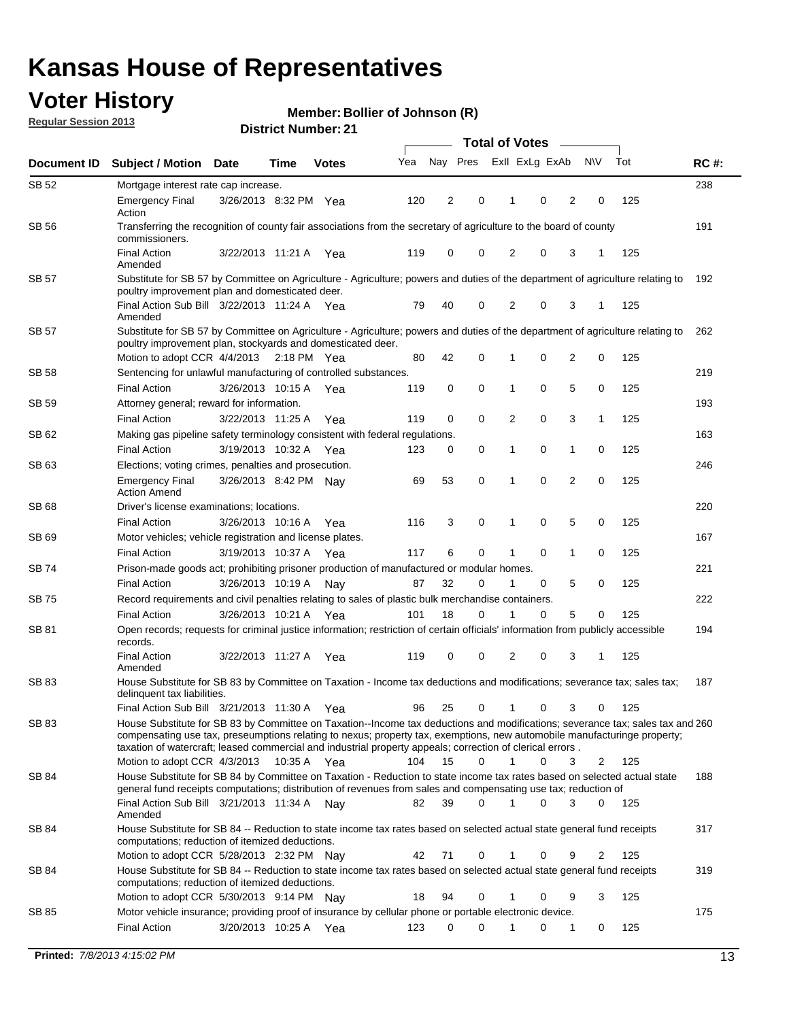## **Voter History**

**Member: Bollier of Johnson (R)** 

**Regular Session 2013**

|              |                                                                                                                                                                                                                                                                                                                                                                                                         |                       |             |              |     |          |             | <b>Total of Votes</b> |   |                |             |     |             |
|--------------|---------------------------------------------------------------------------------------------------------------------------------------------------------------------------------------------------------------------------------------------------------------------------------------------------------------------------------------------------------------------------------------------------------|-----------------------|-------------|--------------|-----|----------|-------------|-----------------------|---|----------------|-------------|-----|-------------|
| Document ID  | <b>Subject / Motion Date</b>                                                                                                                                                                                                                                                                                                                                                                            |                       | Time        | <b>Votes</b> | Yea | Nay Pres |             | Exll ExLg ExAb        |   |                | <b>NV</b>   | Tot | <b>RC#:</b> |
| SB 52        | Mortgage interest rate cap increase.                                                                                                                                                                                                                                                                                                                                                                    |                       |             |              |     |          |             |                       |   |                |             |     | 238         |
|              | <b>Emergency Final</b><br>Action                                                                                                                                                                                                                                                                                                                                                                        | 3/26/2013 8:32 PM Yea |             |              | 120 | 2        | 0           |                       | 0 | 2              | 0           | 125 |             |
| SB 56        | Transferring the recognition of county fair associations from the secretary of agriculture to the board of county<br>commissioners.                                                                                                                                                                                                                                                                     |                       |             |              |     |          |             |                       |   |                |             |     | 191         |
|              | <b>Final Action</b><br>Amended                                                                                                                                                                                                                                                                                                                                                                          | 3/22/2013 11:21 A     |             | Yea          | 119 | 0        | 0           | 2                     | 0 | 3              | 1           | 125 |             |
| SB 57        | Substitute for SB 57 by Committee on Agriculture - Agriculture; powers and duties of the department of agriculture relating to<br>poultry improvement plan and domesticated deer.                                                                                                                                                                                                                       |                       |             |              |     |          |             |                       |   |                |             |     | 192         |
|              | Final Action Sub Bill 3/22/2013 11:24 A Yea<br>Amended                                                                                                                                                                                                                                                                                                                                                  |                       |             |              | 79  | 40       | 0           | 2                     | 0 | 3              | 1           | 125 |             |
| SB 57        | Substitute for SB 57 by Committee on Agriculture - Agriculture; powers and duties of the department of agriculture relating to<br>poultry improvement plan, stockyards and domesticated deer.                                                                                                                                                                                                           |                       |             |              |     |          |             |                       |   |                |             |     | 262         |
|              | Motion to adopt CCR 4/4/2013 2:18 PM Yea                                                                                                                                                                                                                                                                                                                                                                |                       |             |              | 80  | 42       | 0           | 1                     | 0 | 2              | 0           | 125 |             |
| SB 58        | Sentencing for unlawful manufacturing of controlled substances.                                                                                                                                                                                                                                                                                                                                         |                       |             |              |     |          |             |                       |   |                |             |     | 219         |
|              | <b>Final Action</b>                                                                                                                                                                                                                                                                                                                                                                                     | 3/26/2013 10:15 A     |             | Yea          | 119 | 0        | 0           | 1                     | 0 | 5              | 0           | 125 |             |
| <b>SB 59</b> | Attorney general; reward for information.                                                                                                                                                                                                                                                                                                                                                               |                       |             |              |     |          |             |                       |   |                |             |     | 193         |
|              | <b>Final Action</b>                                                                                                                                                                                                                                                                                                                                                                                     | 3/22/2013 11:25 A     |             | Yea          | 119 | 0        | 0           | 2                     | 0 | 3              | 1           | 125 |             |
| SB 62        | Making gas pipeline safety terminology consistent with federal regulations.                                                                                                                                                                                                                                                                                                                             |                       |             |              |     |          |             |                       |   |                |             |     | 163         |
|              | <b>Final Action</b>                                                                                                                                                                                                                                                                                                                                                                                     | 3/19/2013 10:32 A     |             | Yea          | 123 | 0        | 0           | 1                     | 0 | 1              | 0           | 125 |             |
| SB 63        | Elections; voting crimes, penalties and prosecution.                                                                                                                                                                                                                                                                                                                                                    |                       |             |              |     |          |             |                       |   |                |             |     | 246         |
|              | <b>Emergency Final</b><br><b>Action Amend</b>                                                                                                                                                                                                                                                                                                                                                           | 3/26/2013 8:42 PM Nay |             |              | 69  | 53       | $\mathbf 0$ | 1                     | 0 | $\overline{2}$ | $\mathbf 0$ | 125 |             |
| SB 68        | Driver's license examinations; locations.                                                                                                                                                                                                                                                                                                                                                               |                       |             |              |     |          |             |                       |   |                |             |     | 220         |
|              | <b>Final Action</b>                                                                                                                                                                                                                                                                                                                                                                                     | 3/26/2013 10:16 A     |             | Yea          | 116 | 3        | 0           | 1                     | 0 | 5              | 0           | 125 |             |
| SB 69        | Motor vehicles; vehicle registration and license plates.                                                                                                                                                                                                                                                                                                                                                |                       |             |              |     |          |             |                       |   |                |             |     | 167         |
|              | <b>Final Action</b>                                                                                                                                                                                                                                                                                                                                                                                     | 3/19/2013 10:37 A     |             | Yea          | 117 | 6        | 0           | 1                     | 0 | $\mathbf{1}$   | 0           | 125 |             |
| SB 74        | Prison-made goods act; prohibiting prisoner production of manufactured or modular homes.                                                                                                                                                                                                                                                                                                                |                       |             |              |     |          |             |                       |   |                |             |     | 221         |
|              | <b>Final Action</b>                                                                                                                                                                                                                                                                                                                                                                                     | 3/26/2013 10:19 A     |             | Nay          | 87  | 32       | 0           | 1                     | 0 | 5              | 0           | 125 |             |
| SB 75        | Record requirements and civil penalties relating to sales of plastic bulk merchandise containers.                                                                                                                                                                                                                                                                                                       |                       |             |              |     | 18       | 0           | 1                     | 0 | 5              | 0           | 125 | 222         |
|              | <b>Final Action</b>                                                                                                                                                                                                                                                                                                                                                                                     | 3/26/2013 10:21 A     |             | Yea          | 101 |          |             |                       |   |                |             |     | 194         |
| SB 81        | Open records; requests for criminal justice information; restriction of certain officials' information from publicly accessible<br>records.<br><b>Final Action</b>                                                                                                                                                                                                                                      | 3/22/2013 11:27 A     |             | Yea          | 119 | 0        | 0           | 2                     | 0 | 3              | 1           | 125 |             |
|              | Amended                                                                                                                                                                                                                                                                                                                                                                                                 |                       |             |              |     |          |             |                       |   |                |             |     |             |
| <b>SB 83</b> | House Substitute for SB 83 by Committee on Taxation - Income tax deductions and modifications; severance tax; sales tax;<br>delinquent tax liabilities.                                                                                                                                                                                                                                                 |                       |             |              |     |          |             |                       |   |                |             |     | 187         |
|              | Final Action Sub Bill 3/21/2013 11:30 A Yea                                                                                                                                                                                                                                                                                                                                                             |                       |             |              | 96  | 25       | 0           | 1                     | 0 | 3              | 0           | 125 |             |
| SB 83        | House Substitute for SB 83 by Committee on Taxation--Income tax deductions and modifications; severance tax; sales tax and 260<br>compensating use tax, preseumptions relating to nexus; property tax, exemptions, new automobile manufacturinge property;<br>taxation of watercraft; leased commercial and industrial property appeals; correction of clerical errors.<br>Motion to adopt CCR 4/3/2013 |                       | 10:35 A Yea |              | 104 | 15       | 0           | $\mathbf{1}$          | 0 | 3              | 2           | 125 |             |
| SB 84        | House Substitute for SB 84 by Committee on Taxation - Reduction to state income tax rates based on selected actual state                                                                                                                                                                                                                                                                                |                       |             |              |     |          |             |                       |   |                |             |     | 188         |
|              | general fund receipts computations; distribution of revenues from sales and compensating use tax; reduction of<br>Final Action Sub Bill 3/21/2013 11:34 A Nay                                                                                                                                                                                                                                           |                       |             |              | 82  | 39       | $\Omega$    |                       | 0 | 3              | $\Omega$    | 125 |             |
|              | Amended                                                                                                                                                                                                                                                                                                                                                                                                 |                       |             |              |     |          |             |                       |   |                |             |     |             |
| SB 84        | House Substitute for SB 84 -- Reduction to state income tax rates based on selected actual state general fund receipts<br>computations; reduction of itemized deductions.                                                                                                                                                                                                                               |                       |             |              |     |          |             |                       |   |                |             |     | 317         |
|              | Motion to adopt CCR 5/28/2013 2:32 PM Nav                                                                                                                                                                                                                                                                                                                                                               |                       |             |              | 42  | 71       | 0           |                       | 0 | 9              | 2           | 125 |             |
| SB 84        | House Substitute for SB 84 -- Reduction to state income tax rates based on selected actual state general fund receipts<br>computations; reduction of itemized deductions.                                                                                                                                                                                                                               |                       |             |              |     |          |             |                       |   |                | 3           |     | 319         |
|              | Motion to adopt CCR 5/30/2013 9:14 PM Nay                                                                                                                                                                                                                                                                                                                                                               |                       |             |              | 18  | 94       | 0           |                       | 0 | 9              |             | 125 |             |
| SB 85        | Motor vehicle insurance; providing proof of insurance by cellular phone or portable electronic device.<br><b>Final Action</b>                                                                                                                                                                                                                                                                           |                       |             |              | 123 | 0        | $\Omega$    |                       | 0 | 1              | 0           | 125 | 175         |
|              |                                                                                                                                                                                                                                                                                                                                                                                                         | 3/20/2013 10:25 A Yea |             |              |     |          |             |                       |   |                |             |     |             |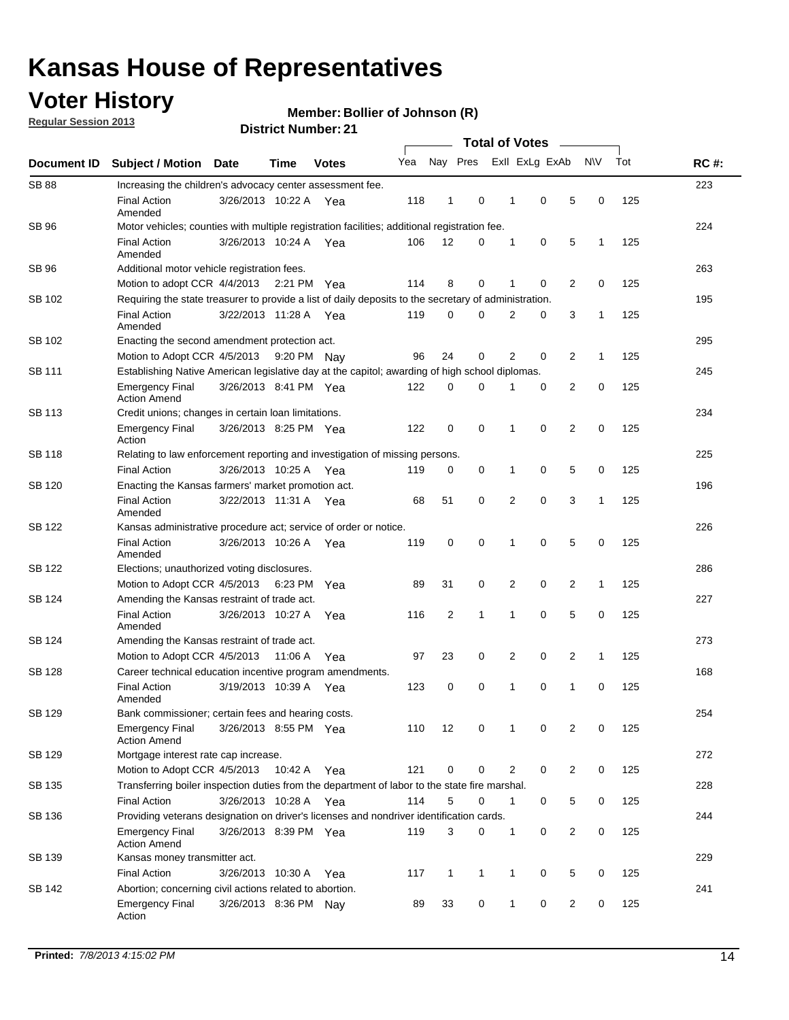## **Voter History**

**Regular Session 2013**

**Member: Bollier of Johnson (R)** 

| Document ID   |                                                                                                       |                       |             |              | <b>Total of Votes</b> |          |   |                |   |                |           |     |             |
|---------------|-------------------------------------------------------------------------------------------------------|-----------------------|-------------|--------------|-----------------------|----------|---|----------------|---|----------------|-----------|-----|-------------|
|               | <b>Subject / Motion</b>                                                                               | Date                  | Time        | <b>Votes</b> | Yea                   | Nay Pres |   | Exll ExLg ExAb |   |                | <b>NV</b> | Tot | <b>RC#:</b> |
| <b>SB 88</b>  | Increasing the children's advocacy center assessment fee.                                             |                       |             |              |                       |          |   |                |   |                |           |     | 223         |
|               | <b>Final Action</b><br>Amended                                                                        | 3/26/2013 10:22 A     |             | Yea          | 118                   | 1        | 0 | 1              | 0 | 5              | 0         | 125 |             |
| <b>SB 96</b>  | Motor vehicles; counties with multiple registration facilities; additional registration fee.          |                       |             |              |                       |          |   |                |   |                |           | 224 |             |
|               | <b>Final Action</b><br>Amended                                                                        | 3/26/2013 10:24 A Yea |             |              | 106                   | 12       | 0 | 1              | 0 | 5              | 1         | 125 |             |
| SB 96         | Additional motor vehicle registration fees.                                                           |                       |             |              |                       |          |   |                |   |                |           |     | 263         |
|               | Motion to adopt CCR 4/4/2013 2:21 PM Yea                                                              |                       |             |              | 114                   | 8        | 0 | 1              | 0 | $\overline{2}$ | 0         | 125 |             |
| SB 102        | Requiring the state treasurer to provide a list of daily deposits to the secretary of administration. |                       |             |              |                       |          |   |                |   |                |           |     | 195         |
|               | <b>Final Action</b><br>Amended                                                                        | 3/22/2013 11:28 A Yea |             |              | 119                   | 0        | 0 | $\overline{2}$ | 0 | 3              | 1         | 125 |             |
| SB 102        | Enacting the second amendment protection act.                                                         |                       |             |              |                       |          |   |                |   |                |           |     | 295         |
|               | Motion to Adopt CCR 4/5/2013                                                                          |                       | 9:20 PM Nay |              | 96                    | 24       | 0 | 2              | 0 | 2              | 1         | 125 |             |
| SB 111        | Establishing Native American legislative day at the capitol; awarding of high school diplomas.        |                       |             |              |                       |          |   |                |   |                |           |     | 245         |
|               | <b>Emergency Final</b><br><b>Action Amend</b>                                                         | 3/26/2013 8:41 PM Yea |             |              | 122                   | 0        | 0 | 1              | 0 | 2              | 0         | 125 |             |
| SB 113        | Credit unions; changes in certain loan limitations.                                                   |                       |             |              |                       |          |   |                |   |                |           |     | 234         |
|               | <b>Emergency Final</b><br>Action                                                                      | 3/26/2013 8:25 PM Yea |             |              | 122                   | 0        | 0 | 1              | 0 | 2              | 0         | 125 |             |
| <b>SB 118</b> | Relating to law enforcement reporting and investigation of missing persons.                           |                       |             |              |                       |          |   |                |   |                |           |     | 225         |
|               | <b>Final Action</b>                                                                                   | 3/26/2013 10:25 A Yea |             |              | 119                   | 0        | 0 | 1              | 0 | 5              | 0         | 125 |             |
| SB 120        | Enacting the Kansas farmers' market promotion act.                                                    |                       |             |              |                       |          |   |                |   |                |           |     | 196         |
|               | <b>Final Action</b><br>Amended                                                                        | 3/22/2013 11:31 A Yea |             |              | 68                    | 51       | 0 | 2              | 0 | 3              | 1         | 125 |             |
| SB 122        | Kansas administrative procedure act; service of order or notice.                                      |                       |             |              |                       |          |   |                |   |                |           |     | 226         |
|               | <b>Final Action</b><br>Amended                                                                        | 3/26/2013 10:26 A     |             | Yea          | 119                   | 0        | 0 | 1              | 0 | 5              | 0         | 125 |             |
| SB 122        | Elections; unauthorized voting disclosures.                                                           |                       |             |              |                       |          |   |                |   |                |           |     | 286         |
|               | Motion to Adopt CCR 4/5/2013                                                                          |                       | 6:23 PM     | Yea          | 89                    | 31       | 0 | 2              | 0 | 2              | 1         | 125 |             |
| SB 124        | Amending the Kansas restraint of trade act.                                                           |                       |             |              |                       |          |   |                |   |                |           |     | 227         |
|               | <b>Final Action</b><br>Amended                                                                        | 3/26/2013 10:27 A     |             | Yea          | 116                   | 2        | 1 | 1              | 0 | 5              | 0         | 125 |             |
| SB 124        | Amending the Kansas restraint of trade act.                                                           |                       |             |              |                       |          |   |                |   |                |           |     | 273         |
|               | Motion to Adopt CCR 4/5/2013                                                                          |                       | 11:06 A     | Yea          | 97                    | 23       | 0 | 2              | 0 | 2              | 1         | 125 |             |
| SB 128        | Career technical education incentive program amendments.                                              |                       |             |              |                       |          |   |                |   |                |           |     | 168         |
|               | <b>Final Action</b><br>Amended                                                                        | 3/19/2013 10:39 A     |             | Yea          | 123                   | 0        | 0 | 1              | 0 | 1              | 0         | 125 |             |
| SB 129        | Bank commissioner; certain fees and hearing costs.                                                    |                       |             |              |                       |          |   |                |   |                |           |     | 254         |
|               | <b>Emergency Final</b><br><b>Action Amend</b>                                                         | 3/26/2013 8:55 PM Yea |             |              | 110                   | 12       | 0 |                | 0 | 2              | 0         | 125 |             |
| SB 129        | Mortgage interest rate cap increase.                                                                  |                       |             |              |                       |          |   |                |   |                |           |     | 272         |
|               | Motion to Adopt CCR 4/5/2013 10:42 A                                                                  |                       |             | Yea          | 121                   | 0        | 0 | $\overline{2}$ | 0 | 2              | 0         | 125 |             |
| SB 135        | Transferring boiler inspection duties from the department of labor to the state fire marshal.         |                       |             |              |                       |          |   |                |   |                |           |     | 228         |
|               | <b>Final Action</b>                                                                                   | 3/26/2013 10:28 A Yea |             |              | 114                   | 5        | 0 | 1              | 0 | 5              | 0         | 125 |             |
| SB 136        | Providing veterans designation on driver's licenses and nondriver identification cards.               |                       |             |              |                       |          |   |                |   |                |           | 244 |             |
|               | <b>Emergency Final</b><br><b>Action Amend</b>                                                         | 3/26/2013 8:39 PM Yea |             |              | 119                   | 3        | 0 | $\mathbf{1}$   | 0 | $\overline{2}$ | 0         | 125 |             |
| SB 139        | Kansas money transmitter act.                                                                         |                       |             |              |                       |          |   |                |   |                |           |     | 229         |
|               | <b>Final Action</b>                                                                                   | 3/26/2013 10:30 A     |             | Yea          | 117                   | 1        | 1 | 1              | 0 | 5              | 0         | 125 |             |
| SB 142        | Abortion; concerning civil actions related to abortion.                                               |                       |             |              |                       |          |   |                |   |                |           |     | 241         |
|               | <b>Emergency Final</b><br>Action                                                                      | 3/26/2013 8:36 PM Nay |             |              | 89                    | 33       | 0 | 1              | 0 | 2              | 0         | 125 |             |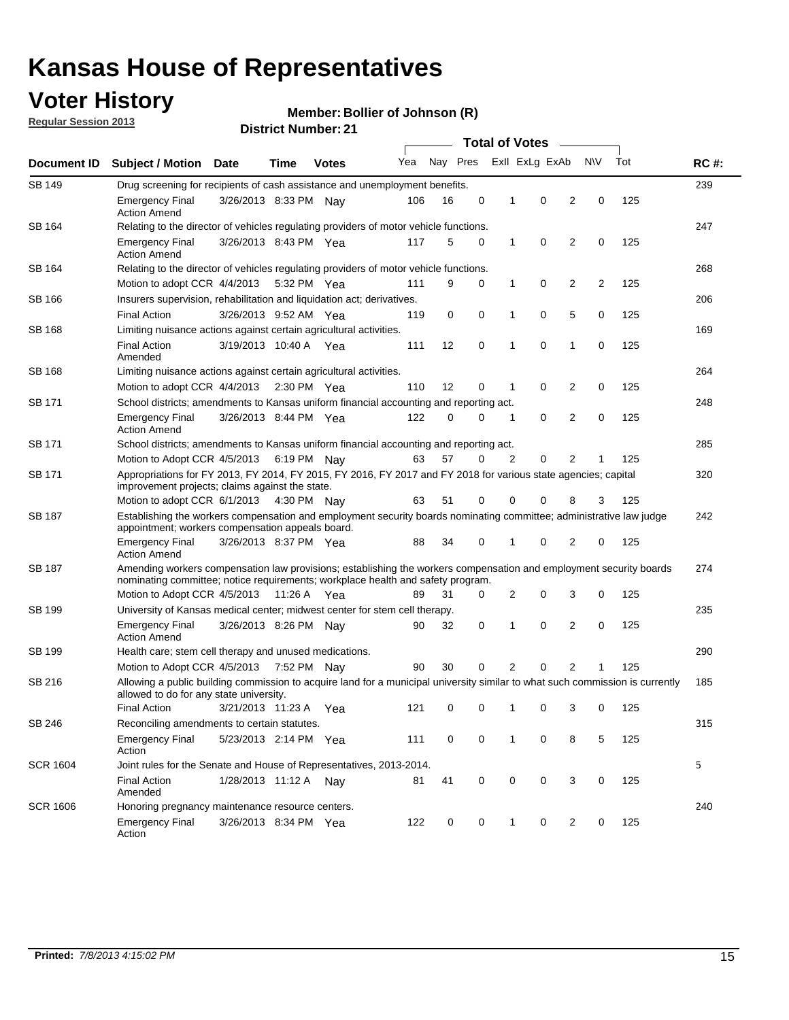## **Voter History**

**Member: Bollier of Johnson (R)** 

**Regular Session 2013**

| Document ID     |                                                                                                                                                                          |                                                                                                                                                                                                       |             |              | <b>Total of Votes</b><br>$\sim$ |          |   |   |                |                |           |     |             |
|-----------------|--------------------------------------------------------------------------------------------------------------------------------------------------------------------------|-------------------------------------------------------------------------------------------------------------------------------------------------------------------------------------------------------|-------------|--------------|---------------------------------|----------|---|---|----------------|----------------|-----------|-----|-------------|
|                 | <b>Subject / Motion Date</b>                                                                                                                                             |                                                                                                                                                                                                       | Time        | <b>Votes</b> | Yea                             | Nay Pres |   |   | Exll ExLg ExAb |                | <b>NV</b> | Tot | <b>RC#:</b> |
| <b>SB 149</b>   | Drug screening for recipients of cash assistance and unemployment benefits.                                                                                              |                                                                                                                                                                                                       |             |              |                                 |          |   |   |                |                |           |     | 239         |
|                 | <b>Emergency Final</b><br><b>Action Amend</b>                                                                                                                            | 3/26/2013 8:33 PM Nav                                                                                                                                                                                 |             |              | 106                             | 16       | 0 | 1 | 0              | 2              | 0         | 125 |             |
| SB 164          | Relating to the director of vehicles regulating providers of motor vehicle functions.                                                                                    |                                                                                                                                                                                                       |             |              |                                 |          |   |   |                |                |           |     | 247         |
|                 | <b>Emergency Final</b><br><b>Action Amend</b>                                                                                                                            | 3/26/2013 8:43 PM Yea                                                                                                                                                                                 |             |              | 117                             | 5        | 0 | 1 | 0              | 2              | 0         | 125 |             |
| SB 164          | Relating to the director of vehicles regulating providers of motor vehicle functions.                                                                                    |                                                                                                                                                                                                       |             |              |                                 |          |   |   |                |                |           |     | 268         |
|                 | Motion to adopt CCR 4/4/2013                                                                                                                                             |                                                                                                                                                                                                       | 5:32 PM Yea |              | 111                             | 9        | 0 | 1 | 0              | 2              | 2         | 125 |             |
| SB 166          | Insurers supervision, rehabilitation and liquidation act; derivatives.                                                                                                   |                                                                                                                                                                                                       |             |              |                                 |          |   |   |                |                |           |     | 206         |
|                 | <b>Final Action</b>                                                                                                                                                      | 3/26/2013 9:52 AM Yea                                                                                                                                                                                 |             |              | 119                             | 0        | 0 | 1 | 0              | 5              | 0         | 125 |             |
| SB 168          | Limiting nuisance actions against certain agricultural activities.                                                                                                       |                                                                                                                                                                                                       |             |              |                                 |          |   |   |                |                |           |     | 169         |
|                 | <b>Final Action</b><br>Amended                                                                                                                                           | 3/19/2013 10:40 A Yea                                                                                                                                                                                 |             |              | 111                             | 12       | 0 | 1 | 0              | 1              | 0         | 125 |             |
| SB 168          | Limiting nuisance actions against certain agricultural activities.                                                                                                       |                                                                                                                                                                                                       |             |              |                                 |          |   |   |                |                |           |     | 264         |
|                 | Motion to adopt CCR 4/4/2013                                                                                                                                             |                                                                                                                                                                                                       | 2:30 PM Yea |              | 110                             | 12       | 0 | 1 | 0              | 2              | 0         | 125 |             |
| <b>SB 171</b>   | School districts; amendments to Kansas uniform financial accounting and reporting act.                                                                                   |                                                                                                                                                                                                       |             |              |                                 |          |   |   |                |                |           |     | 248         |
|                 | <b>Emergency Final</b><br><b>Action Amend</b>                                                                                                                            | 3/26/2013 8:44 PM Yea                                                                                                                                                                                 |             |              | 122                             | 0        | 0 | 1 | 0              | 2              | 0         | 125 |             |
| SB 171          | School districts; amendments to Kansas uniform financial accounting and reporting act.                                                                                   |                                                                                                                                                                                                       |             |              |                                 |          |   |   |                |                |           |     | 285         |
|                 | Motion to Adopt CCR 4/5/2013 6:19 PM Nay                                                                                                                                 |                                                                                                                                                                                                       |             |              | 63                              | 57       | 0 | 2 | 0              | 2              | 1         | 125 |             |
| SB 171          | Appropriations for FY 2013, FY 2014, FY 2015, FY 2016, FY 2017 and FY 2018 for various state agencies; capital<br>improvement projects; claims against the state.        |                                                                                                                                                                                                       |             |              |                                 |          |   |   |                |                |           | 320 |             |
|                 | Motion to adopt CCR 6/1/2013 4:30 PM Nay                                                                                                                                 |                                                                                                                                                                                                       |             |              | 63                              | 51       | 0 | 0 | 0              | 8              | 3         | 125 |             |
| SB 187          | Establishing the workers compensation and employment security boards nominating committee; administrative law judge<br>appointment; workers compensation appeals board.  |                                                                                                                                                                                                       |             |              |                                 |          |   |   |                |                |           |     | 242         |
|                 | <b>Emergency Final</b><br><b>Action Amend</b>                                                                                                                            | 3/26/2013 8:37 PM Yea                                                                                                                                                                                 |             |              | 88                              | 34       | 0 | 1 | 0              | 2              | 0         | 125 |             |
| SB 187          |                                                                                                                                                                          | Amending workers compensation law provisions; establishing the workers compensation and employment security boards<br>nominating committee; notice requirements; workplace health and safety program. |             |              |                                 |          |   |   |                |                |           |     |             |
|                 | Motion to Adopt CCR 4/5/2013 11:26 A Yea                                                                                                                                 |                                                                                                                                                                                                       |             |              | 89                              | 31       | 0 | 2 | 0              | 3              | 0         | 125 |             |
| SB 199          | University of Kansas medical center; midwest center for stem cell therapy.                                                                                               |                                                                                                                                                                                                       |             |              |                                 |          |   |   |                |                |           | 235 |             |
|                 | <b>Emergency Final</b><br><b>Action Amend</b>                                                                                                                            | 3/26/2013 8:26 PM Nav                                                                                                                                                                                 |             |              | 90                              | 32       | 0 | 1 | 0              | 2              | 0         | 125 |             |
| SB 199          | Health care; stem cell therapy and unused medications.                                                                                                                   |                                                                                                                                                                                                       |             |              |                                 |          |   |   |                |                |           |     | 290         |
|                 | Motion to Adopt CCR 4/5/2013                                                                                                                                             |                                                                                                                                                                                                       | 7:52 PM Nay |              | 90                              | 30       | 0 | 2 | 0              | $\overline{2}$ | 1         | 125 |             |
| SB 216          | Allowing a public building commission to acquire land for a municipal university similar to what such commission is currently<br>allowed to do for any state university. |                                                                                                                                                                                                       |             |              |                                 |          |   |   |                |                |           |     | 185         |
|                 | <b>Final Action</b>                                                                                                                                                      | 3/21/2013 11:23 A                                                                                                                                                                                     |             | Yea          | 121                             | 0        | 0 | 1 | 0              | 3              | 0         | 125 |             |
| SB 246          | Reconciling amendments to certain statutes.                                                                                                                              |                                                                                                                                                                                                       |             |              |                                 |          |   |   |                |                |           |     | 315         |
|                 | <b>Emergency Final</b><br>Action                                                                                                                                         | 5/23/2013 2:14 PM Yea                                                                                                                                                                                 |             |              | 111                             | 0        | 0 | 1 | 0              | 8              | 5         | 125 |             |
| <b>SCR 1604</b> | Joint rules for the Senate and House of Representatives, 2013-2014.                                                                                                      |                                                                                                                                                                                                       |             |              |                                 |          |   |   |                |                |           |     | 5           |
|                 | <b>Final Action</b><br>Amended                                                                                                                                           | 1/28/2013 11:12 A Nay                                                                                                                                                                                 |             |              | 81                              | 41       | 0 | 0 | 0              | 3              | 0         | 125 |             |
| <b>SCR 1606</b> | Honoring pregnancy maintenance resource centers.                                                                                                                         |                                                                                                                                                                                                       |             |              |                                 |          |   |   |                |                |           | 240 |             |
|                 | <b>Emergency Final</b><br>Action                                                                                                                                         | 3/26/2013 8:34 PM Yea                                                                                                                                                                                 |             |              | 122                             | 0        | 0 | 1 | 0              | 2              | 0         | 125 |             |